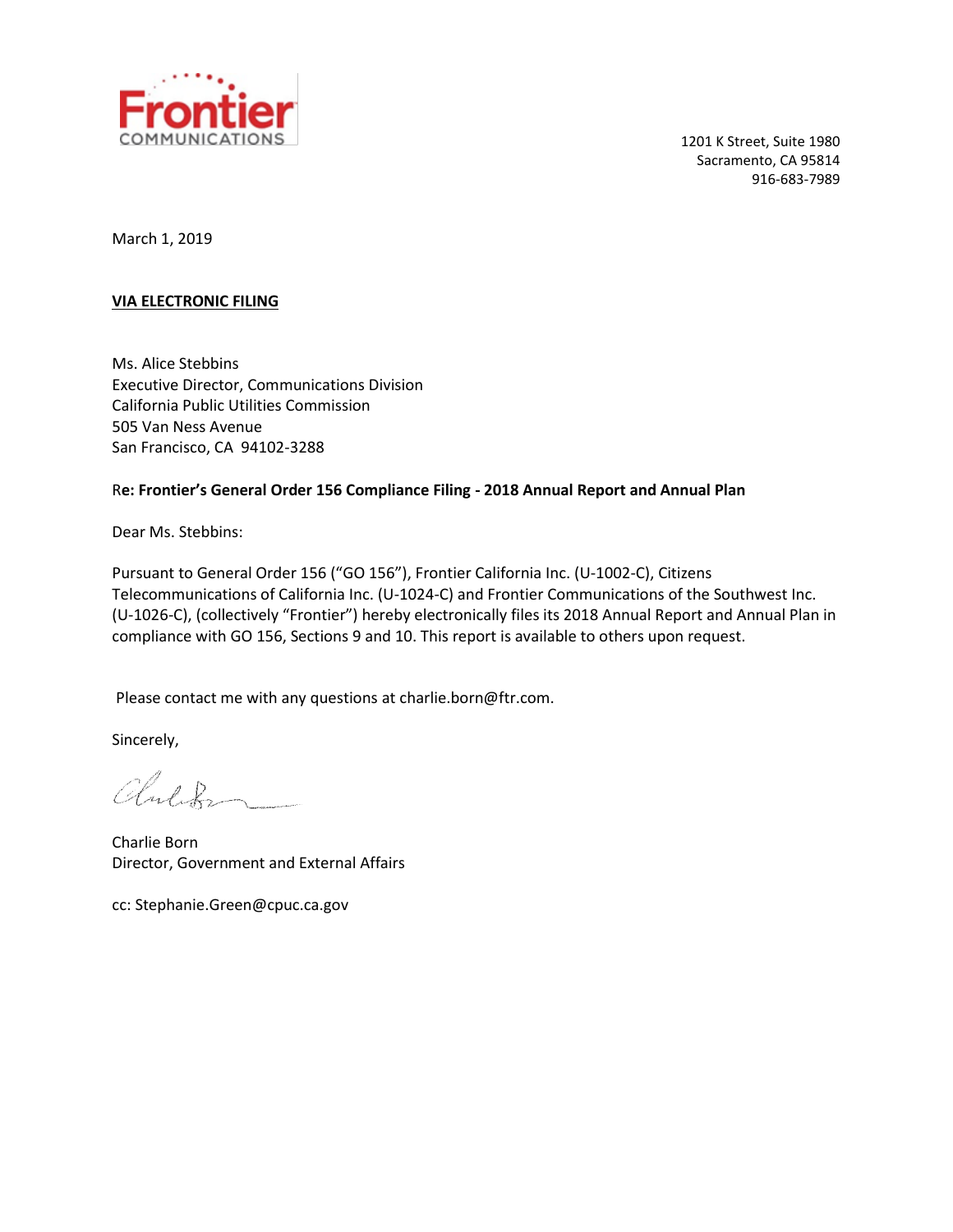

1201 K Street, Suite 1980 Sacramento, CA 95814 916-683-7989

March 1, 2019

#### **VIA ELECTRONIC FILING**

Ms. Alice Stebbins Executive Director, Communications Division California Public Utilities Commission 505 Van Ness Avenue San Francisco, CA 94102-3288

#### R**e: Frontier's General Order 156 Compliance Filing - 2018 Annual Report and Annual Plan**

Dear Ms. Stebbins:

Pursuant to General Order 156 ("GO 156"), Frontier California Inc. (U-1002-C), Citizens Telecommunications of California Inc. (U-1024-C) and Frontier Communications of the Southwest Inc. (U-1026-C), (collectively "Frontier") hereby electronically files its 2018 Annual Report and Annual Plan in compliance with GO 156, Sections 9 and 10. This report is available to others upon request.

Please contact me with any questions at charlie.born@ftr.com.

Sincerely,

Children -

Charlie Born Director, Government and External Affairs

cc: Stephanie.Green@cpuc.ca.gov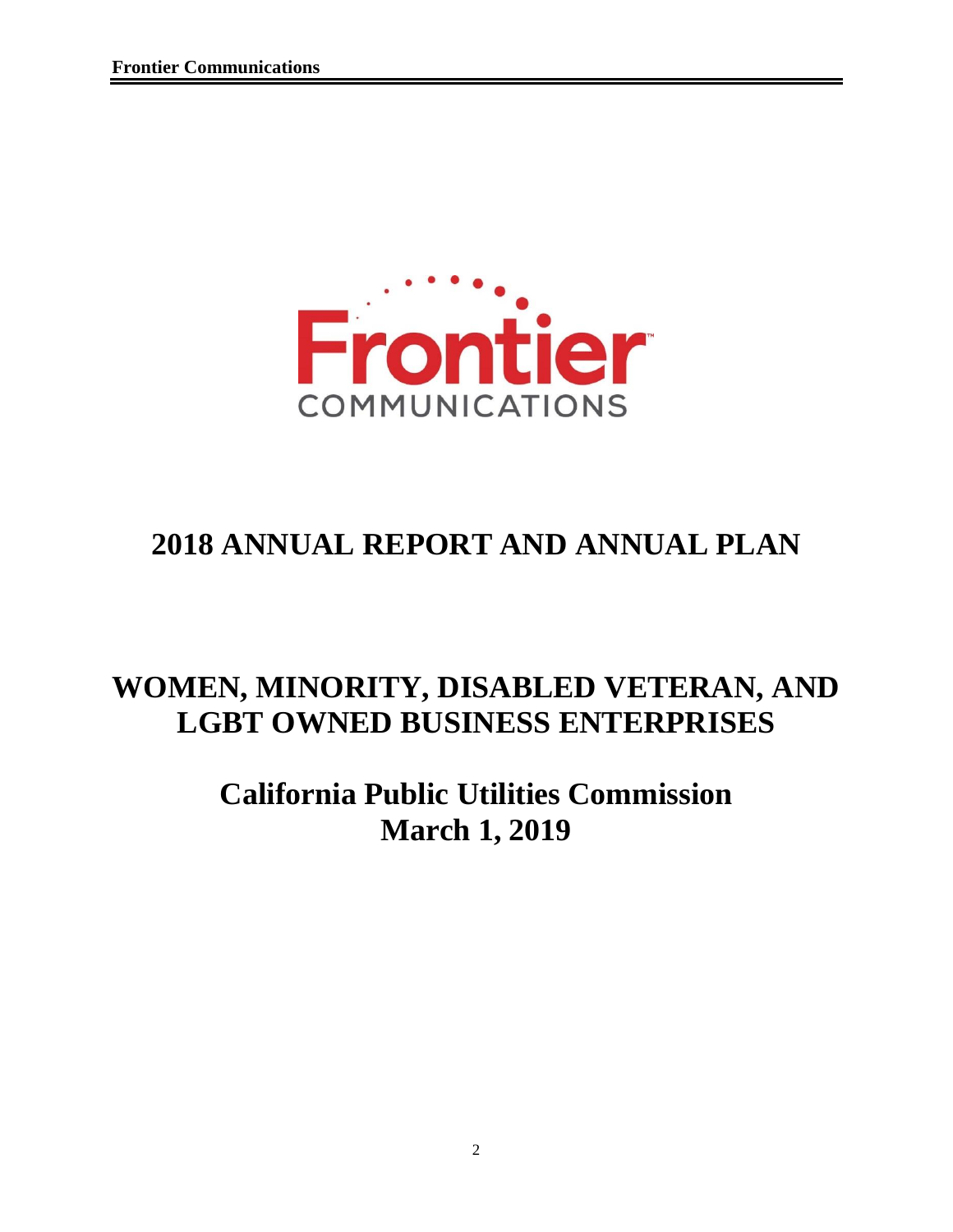

# **2018 ANNUAL REPORT AND ANNUAL PLAN**

## **WOMEN, MINORITY, DISABLED VETERAN, AND LGBT OWNED BUSINESS ENTERPRISES**

# **California Public Utilities Commission March 1, 2019**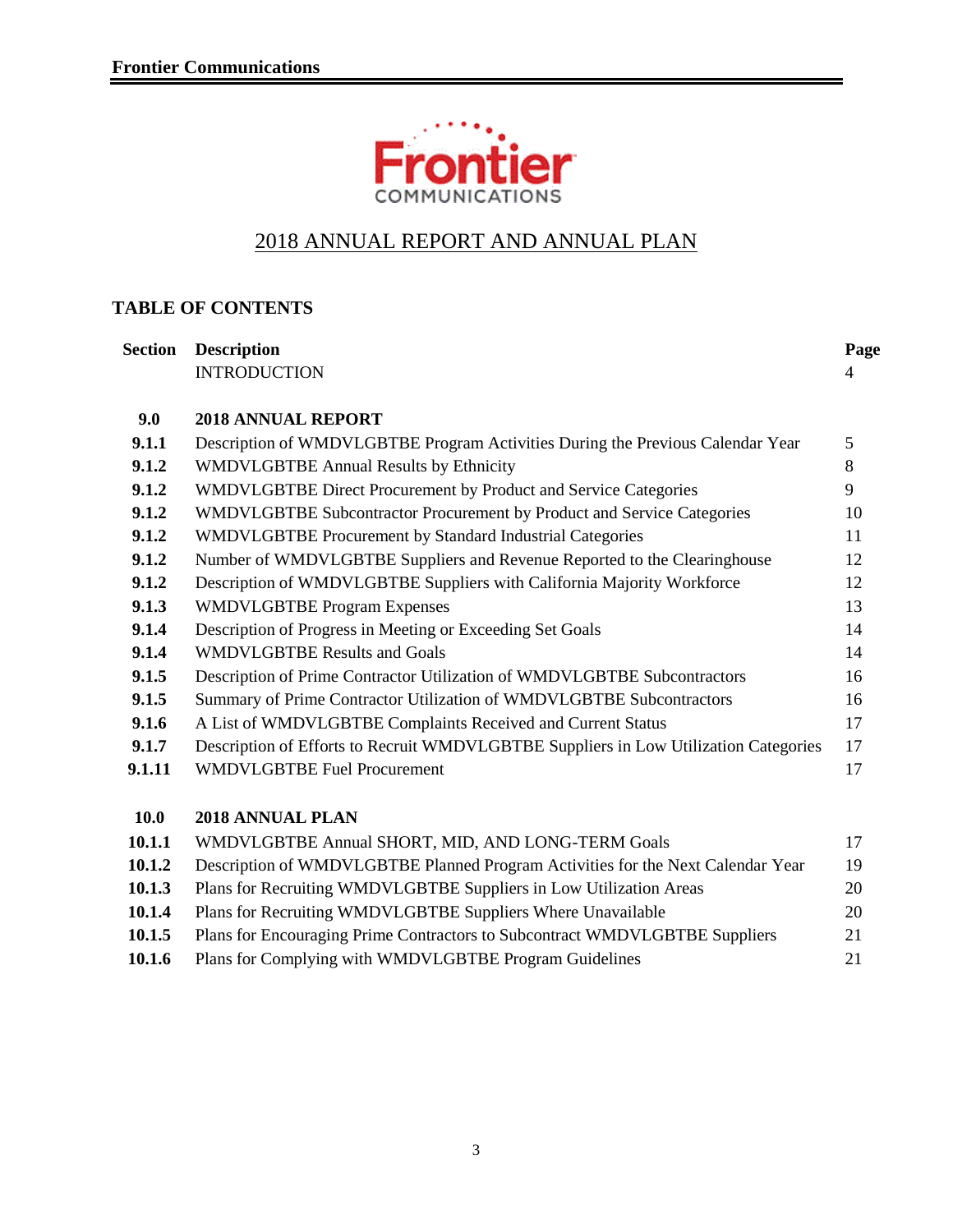

### 2018 ANNUAL REPORT AND ANNUAL PLAN

#### **TABLE OF CONTENTS**

| <b>Section</b> | <b>Description</b>                                                                   | Page |
|----------------|--------------------------------------------------------------------------------------|------|
|                | <b>INTRODUCTION</b>                                                                  | 4    |
| 9.0            | <b>2018 ANNUAL REPORT</b>                                                            |      |
| 9.1.1          | Description of WMDVLGBTBE Program Activities During the Previous Calendar Year       | 5    |
| 9.1.2          | <b>WMDVLGBTBE Annual Results by Ethnicity</b>                                        | 8    |
| 9.1.2          | WMDVLGBTBE Direct Procurement by Product and Service Categories                      | 9    |
| 9.1.2          | WMDVLGBTBE Subcontractor Procurement by Product and Service Categories               | 10   |
| 9.1.2          | WMDVLGBTBE Procurement by Standard Industrial Categories                             | 11   |
| 9.1.2          | Number of WMDVLGBTBE Suppliers and Revenue Reported to the Clearinghouse             | 12   |
| 9.1.2          | Description of WMDVLGBTBE Suppliers with California Majority Workforce               | 12   |
| 9.1.3          | <b>WMDVLGBTBE Program Expenses</b>                                                   | 13   |
| 9.1.4          | Description of Progress in Meeting or Exceeding Set Goals                            | 14   |
| 9.1.4          | <b>WMDVLGBTBE Results and Goals</b>                                                  | 14   |
| 9.1.5          | Description of Prime Contractor Utilization of WMDVLGBTBE Subcontractors             | 16   |
| 9.1.5          | Summary of Prime Contractor Utilization of WMDVLGBTBE Subcontractors                 | 16   |
| 9.1.6          | A List of WMDVLGBTBE Complaints Received and Current Status                          | 17   |
| 9.1.7          | Description of Efforts to Recruit WMDVLGBTBE Suppliers in Low Utilization Categories | 17   |
| 9.1.11         | <b>WMDVLGBTBE Fuel Procurement</b>                                                   | 17   |
| 10.0           | 2018 ANNUAL PLAN                                                                     |      |
| 10.1.1         | WMDVLGBTBE Annual SHORT, MID, AND LONG-TERM Goals                                    | 17   |
| 10.1.2         | Description of WMDVLGBTBE Planned Program Activities for the Next Calendar Year      | 19   |
| 10.1.3         | Plans for Recruiting WMDVLGBTBE Suppliers in Low Utilization Areas                   | 20   |
| 10.1.4         | Plans for Recruiting WMDVLGBTBE Suppliers Where Unavailable                          | 20   |
|                |                                                                                      |      |

10.1.5 Plans for Encouraging Prime Contractors to Subcontract WMDVLGBTBE Suppliers 21 10.1.6 Plans for Complying with WMDVLGBTBE Program Guidelines 21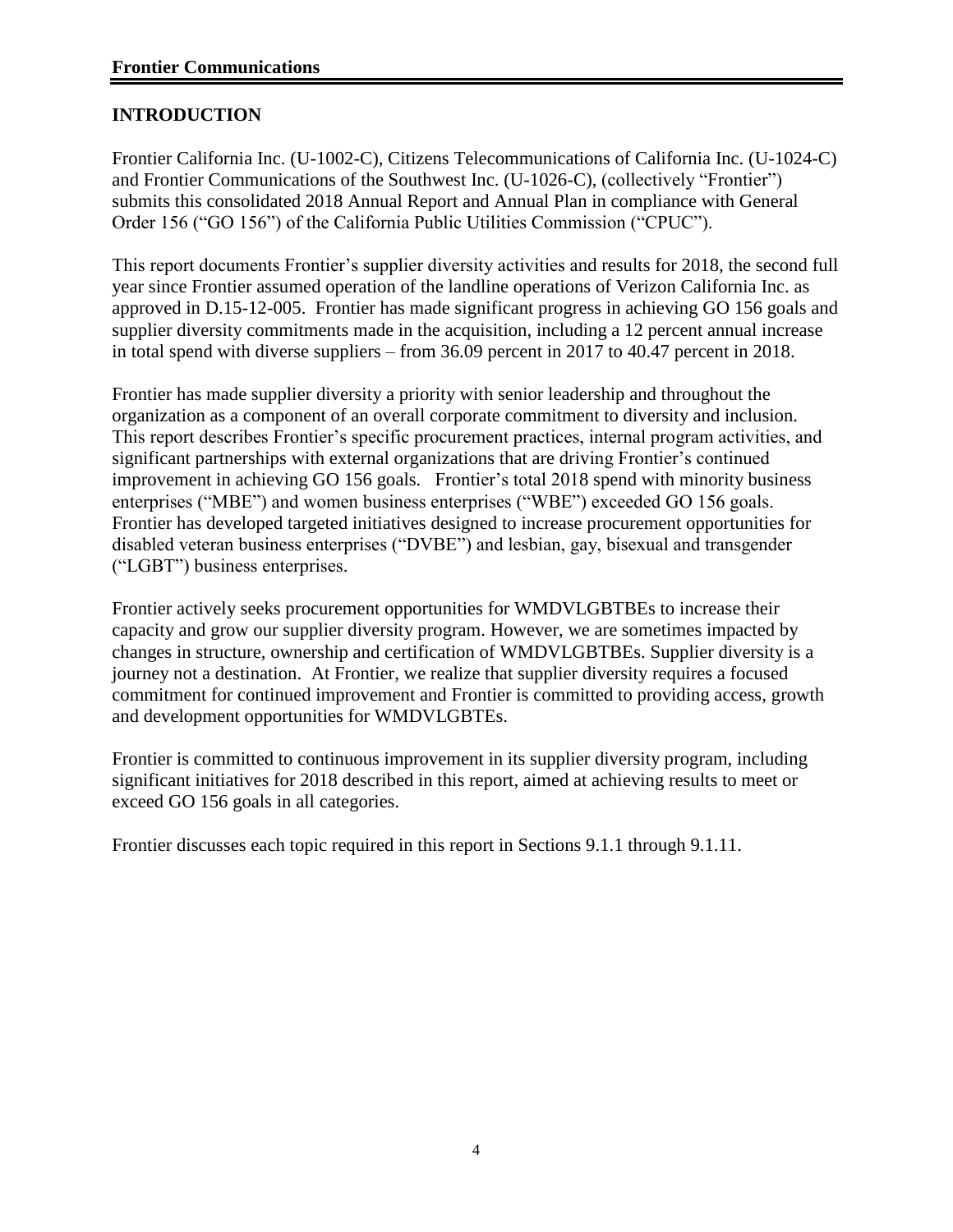#### **INTRODUCTION**

Frontier California Inc. (U-1002-C), Citizens Telecommunications of California Inc. (U-1024-C) and Frontier Communications of the Southwest Inc. (U-1026-C), (collectively "Frontier") submits this consolidated 2018 Annual Report and Annual Plan in compliance with General Order 156 ("GO 156") of the California Public Utilities Commission ("CPUC").

This report documents Frontier's supplier diversity activities and results for 2018, the second full year since Frontier assumed operation of the landline operations of Verizon California Inc. as approved in D.15-12-005. Frontier has made significant progress in achieving GO 156 goals and supplier diversity commitments made in the acquisition, including a 12 percent annual increase in total spend with diverse suppliers – from 36.09 percent in 2017 to 40.47 percent in 2018.

Frontier has made supplier diversity a priority with senior leadership and throughout the organization as a component of an overall corporate commitment to diversity and inclusion. This report describes Frontier's specific procurement practices, internal program activities, and significant partnerships with external organizations that are driving Frontier's continued improvement in achieving GO 156 goals. Frontier's total 2018 spend with minority business enterprises ("MBE") and women business enterprises ("WBE") exceeded GO 156 goals. Frontier has developed targeted initiatives designed to increase procurement opportunities for disabled veteran business enterprises ("DVBE") and lesbian, gay, bisexual and transgender ("LGBT") business enterprises.

Frontier actively seeks procurement opportunities for WMDVLGBTBEs to increase their capacity and grow our supplier diversity program. However, we are sometimes impacted by changes in structure, ownership and certification of WMDVLGBTBEs. Supplier diversity is a journey not a destination. At Frontier, we realize that supplier diversity requires a focused commitment for continued improvement and Frontier is committed to providing access, growth and development opportunities for WMDVLGBTEs.

Frontier is committed to continuous improvement in its supplier diversity program, including significant initiatives for 2018 described in this report, aimed at achieving results to meet or exceed GO 156 goals in all categories.

Frontier discusses each topic required in this report in Sections 9.1.1 through 9.1.11.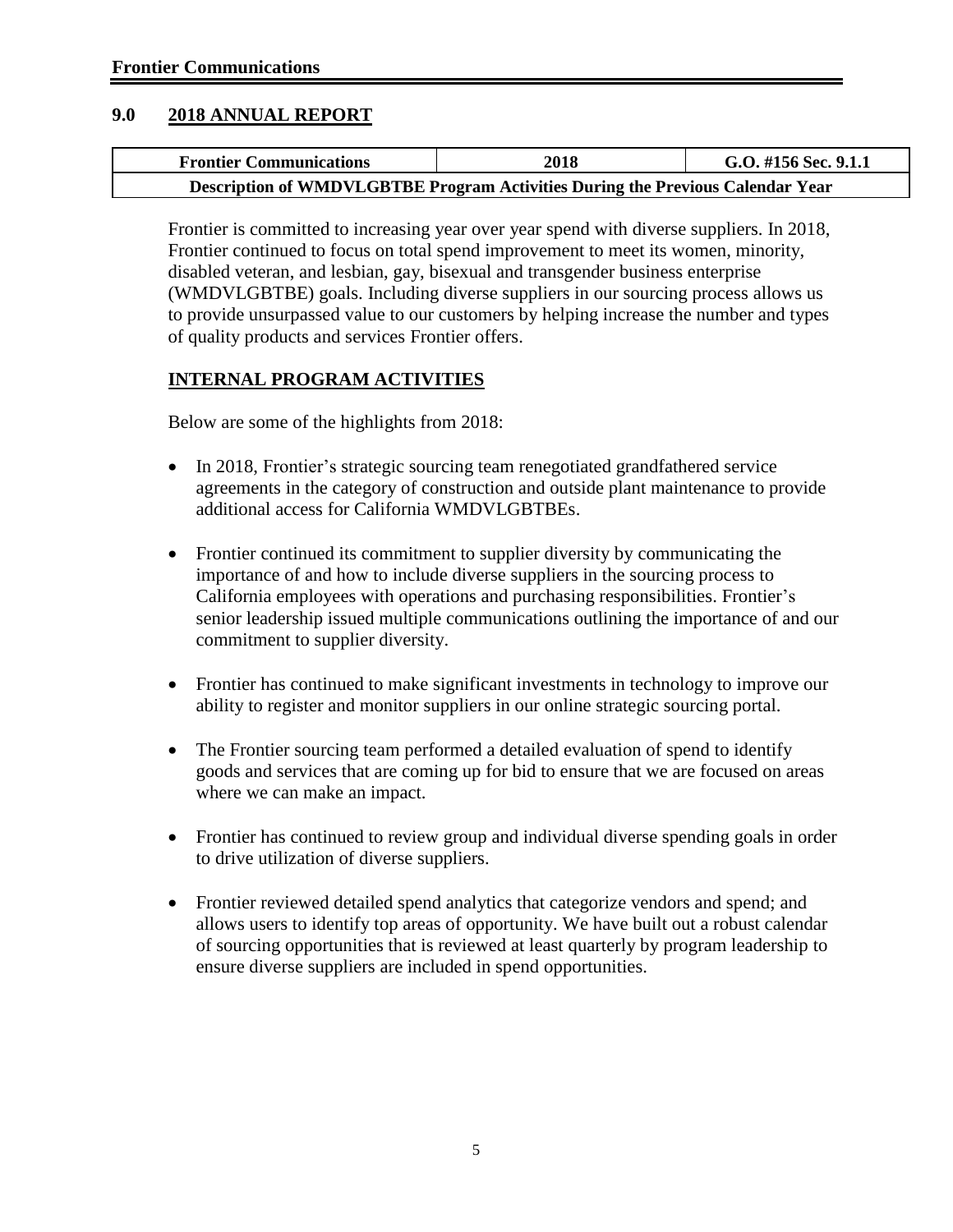#### **9.0 2018 ANNUAL REPORT**

| <b>Frontier Communications</b>                                                 | 2018 | G.O. #156 Sec. 9.1.1 |
|--------------------------------------------------------------------------------|------|----------------------|
| Description of WMDVLGBTBE Program Activities During the Previous Calendar Year |      |                      |

Frontier is committed to increasing year over year spend with diverse suppliers. In 2018, Frontier continued to focus on total spend improvement to meet its women, minority, disabled veteran, and lesbian, gay, bisexual and transgender business enterprise (WMDVLGBTBE) goals. Including diverse suppliers in our sourcing process allows us to provide unsurpassed value to our customers by helping increase the number and types of quality products and services Frontier offers.

#### **INTERNAL PROGRAM ACTIVITIES**

Below are some of the highlights from 2018:

- In 2018, Frontier's strategic sourcing team renegotiated grandfathered service agreements in the category of construction and outside plant maintenance to provide additional access for California WMDVLGBTBEs.
- Frontier continued its commitment to supplier diversity by communicating the importance of and how to include diverse suppliers in the sourcing process to California employees with operations and purchasing responsibilities. Frontier's senior leadership issued multiple communications outlining the importance of and our commitment to supplier diversity.
- Frontier has continued to make significant investments in technology to improve our ability to register and monitor suppliers in our online strategic sourcing portal.
- The Frontier sourcing team performed a detailed evaluation of spend to identify goods and services that are coming up for bid to ensure that we are focused on areas where we can make an impact.
- Frontier has continued to review group and individual diverse spending goals in order to drive utilization of diverse suppliers.
- Frontier reviewed detailed spend analytics that categorize vendors and spend; and allows users to identify top areas of opportunity. We have built out a robust calendar of sourcing opportunities that is reviewed at least quarterly by program leadership to ensure diverse suppliers are included in spend opportunities.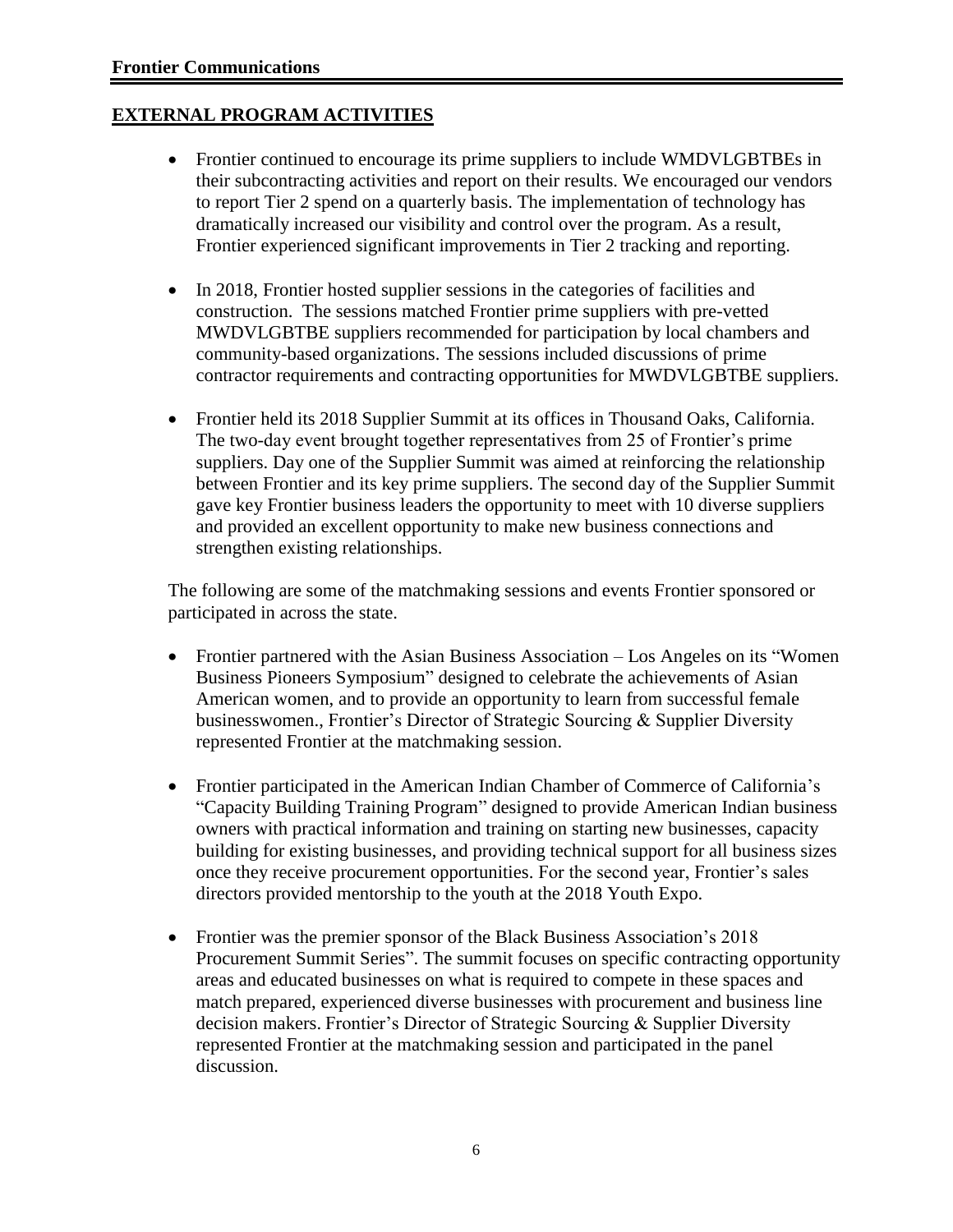#### **EXTERNAL PROGRAM ACTIVITIES**

- Frontier continued to encourage its prime suppliers to include WMDVLGBTBEs in their subcontracting activities and report on their results. We encouraged our vendors to report Tier 2 spend on a quarterly basis. The implementation of technology has dramatically increased our visibility and control over the program. As a result, Frontier experienced significant improvements in Tier 2 tracking and reporting.
- In 2018, Frontier hosted supplier sessions in the categories of facilities and construction. The sessions matched Frontier prime suppliers with pre-vetted MWDVLGBTBE suppliers recommended for participation by local chambers and community-based organizations. The sessions included discussions of prime contractor requirements and contracting opportunities for MWDVLGBTBE suppliers.
- Frontier held its 2018 Supplier Summit at its offices in Thousand Oaks, California. The two-day event brought together representatives from 25 of Frontier's prime suppliers. Day one of the Supplier Summit was aimed at reinforcing the relationship between Frontier and its key prime suppliers. The second day of the Supplier Summit gave key Frontier business leaders the opportunity to meet with 10 diverse suppliers and provided an excellent opportunity to make new business connections and strengthen existing relationships.

The following are some of the matchmaking sessions and events Frontier sponsored or participated in across the state.

- Frontier partnered with the Asian Business Association Los Angeles on its "Women Business Pioneers Symposium" designed to celebrate the achievements of Asian American women, and to provide an opportunity to learn from successful female businesswomen., Frontier's Director of Strategic Sourcing & Supplier Diversity represented Frontier at the matchmaking session.
- Frontier participated in the American Indian Chamber of Commerce of California's "Capacity Building Training Program" designed to provide American Indian business owners with practical information and training on starting new businesses, capacity building for existing businesses, and providing technical support for all business sizes once they receive procurement opportunities. For the second year, Frontier's sales directors provided mentorship to the youth at the 2018 Youth Expo.
- Frontier was the premier sponsor of the Black Business Association's 2018 Procurement Summit Series". The summit focuses on specific contracting opportunity areas and educated businesses on what is required to compete in these spaces and match prepared, experienced diverse businesses with procurement and business line decision makers. Frontier's Director of Strategic Sourcing & Supplier Diversity represented Frontier at the matchmaking session and participated in the panel discussion.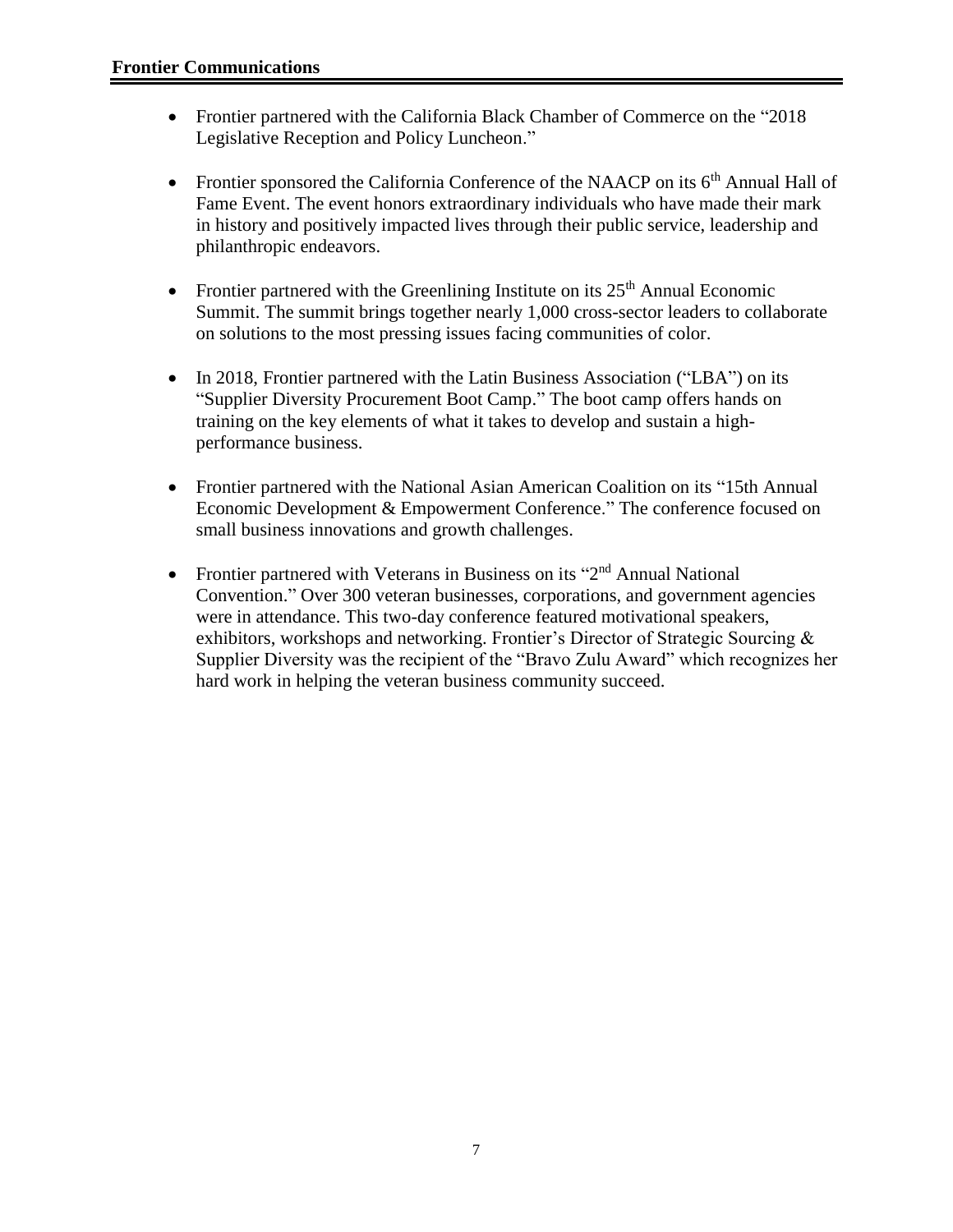- Frontier partnered with the California Black Chamber of Commerce on the "2018 Legislative Reception and Policy Luncheon."
- Frontier sponsored the California Conference of the NAACP on its  $6<sup>th</sup>$  Annual Hall of Fame Event. The event honors extraordinary individuals who have made their mark in history and positively impacted lives through their public service, leadership and philanthropic endeavors.
- Frontier partnered with the Greenlining Institute on its  $25<sup>th</sup>$  Annual Economic Summit. The summit brings together nearly 1,000 cross-sector leaders to collaborate on solutions to the most pressing issues facing communities of color.
- In 2018, Frontier partnered with the Latin Business Association ("LBA") on its "Supplier Diversity Procurement Boot Camp." The boot camp offers hands on training on the key elements of what it takes to develop and sustain a highperformance business.
- Frontier partnered with the National Asian American Coalition on its "15th Annual Economic Development & Empowerment Conference." The conference focused on small business innovations and growth challenges.
- Frontier partnered with Veterans in Business on its "2<sup>nd</sup> Annual National Convention." Over 300 veteran businesses, corporations, and government agencies were in attendance. This two-day conference featured motivational speakers, exhibitors, workshops and networking. Frontier's Director of Strategic Sourcing & Supplier Diversity was the recipient of the "Bravo Zulu Award" which recognizes her hard work in helping the veteran business community succeed.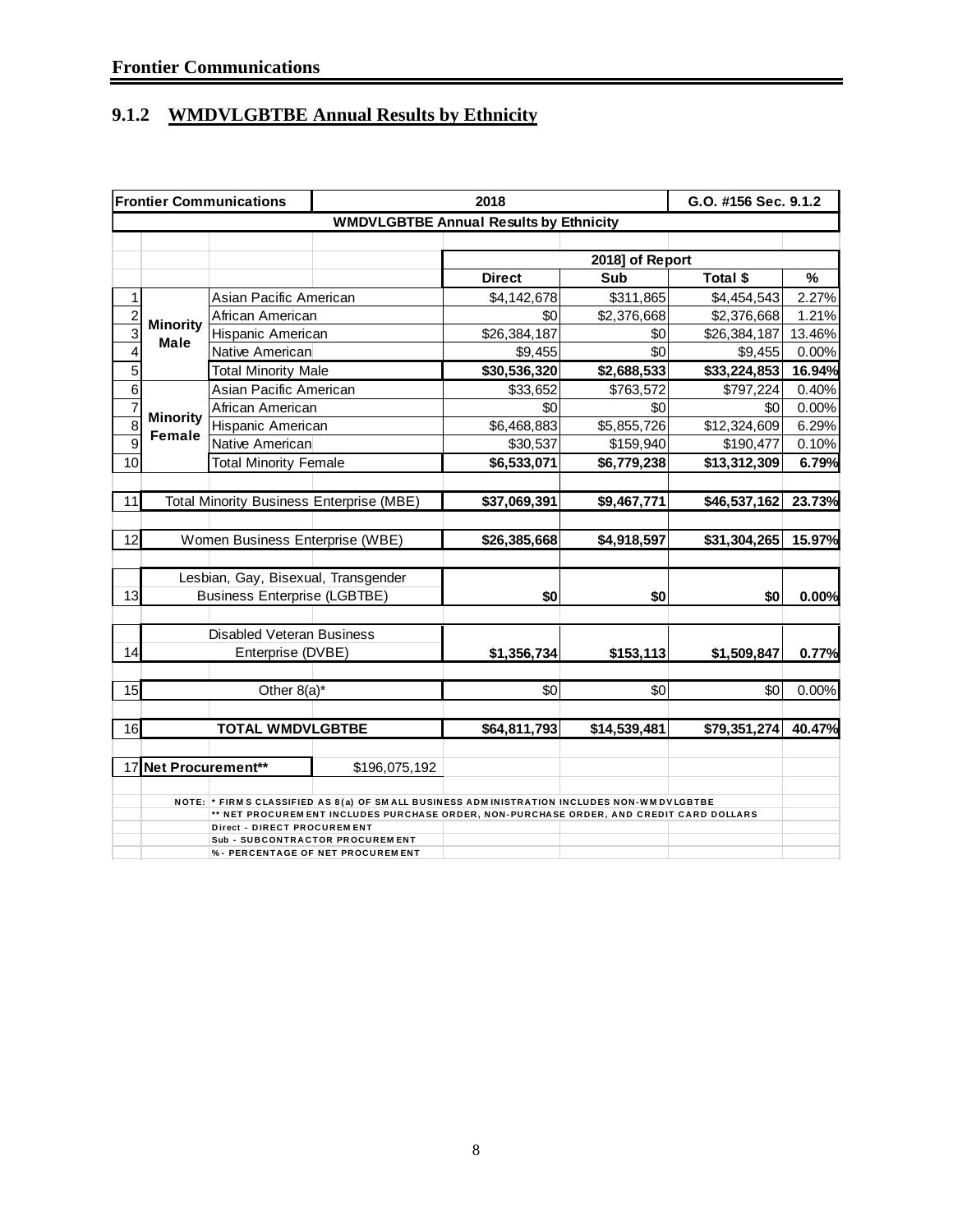## **9.1.2 WMDVLGBTBE Annual Results by Ethnicity**

|                |                      | <b>Frontier Communications</b>      |                                                                                           | G.O. #156 Sec. 9.1.2                          |              |              |        |  |  |
|----------------|----------------------|-------------------------------------|-------------------------------------------------------------------------------------------|-----------------------------------------------|--------------|--------------|--------|--|--|
|                |                      |                                     |                                                                                           | <b>WMDVLGBTBE Annual Results by Ethnicity</b> |              |              |        |  |  |
|                |                      |                                     |                                                                                           |                                               |              |              |        |  |  |
|                |                      |                                     | 2018] of Report                                                                           |                                               |              |              |        |  |  |
|                |                      |                                     |                                                                                           | <b>Direct</b>                                 | Sub          | Total \$     | %      |  |  |
| 1              |                      | Asian Pacific American              |                                                                                           | \$4,142,678                                   | \$311,865    | \$4,454,543  | 2.27%  |  |  |
| $\overline{2}$ | <b>Minority</b>      | African American                    |                                                                                           | \$0                                           | \$2,376,668  | \$2,376,668  | 1.21%  |  |  |
| $\overline{3}$ | <b>Male</b>          | Hispanic American                   |                                                                                           | \$26,384,187                                  | \$0          | \$26,384,187 | 13.46% |  |  |
| $\overline{4}$ |                      | Native American                     |                                                                                           | \$9,455                                       | \$0          | \$9,455      | 0.00%  |  |  |
| $\overline{5}$ |                      | <b>Total Minority Male</b>          |                                                                                           | \$30,536,320                                  | \$2,688,533  | \$33,224,853 | 16.94% |  |  |
| $\overline{6}$ |                      | Asian Pacific American              |                                                                                           | \$33,652                                      | \$763,572    | \$797,224    | 0.40%  |  |  |
| $\overline{7}$ |                      | African American                    |                                                                                           | \$0                                           | \$0          | \$0          | 0.00%  |  |  |
| $\overline{8}$ | <b>Minority</b>      | Hispanic American                   |                                                                                           | \$6,468,883                                   | \$5,855,726  | \$12,324,609 | 6.29%  |  |  |
| $\overline{9}$ | Female               | Native American                     |                                                                                           | \$30,537                                      | \$159,940    | \$190,477    | 0.10%  |  |  |
| 10             |                      | <b>Total Minority Female</b>        |                                                                                           | \$6,533,071                                   | \$6,779,238  | \$13,312,309 | 6.79%  |  |  |
|                |                      |                                     |                                                                                           |                                               |              |              |        |  |  |
| 11             |                      |                                     | Total Minority Business Enterprise (MBE)                                                  | \$37,069,391                                  | \$9,467,771  | \$46,537,162 | 23.73% |  |  |
|                |                      |                                     |                                                                                           |                                               |              |              |        |  |  |
| 12             |                      | Women Business Enterprise (WBE)     |                                                                                           | \$26,385,668                                  | \$4,918,597  | \$31,304,265 | 15.97% |  |  |
|                |                      |                                     |                                                                                           |                                               |              |              |        |  |  |
|                |                      | Lesbian, Gay, Bisexual, Transgender |                                                                                           |                                               |              |              |        |  |  |
| 13             |                      | <b>Business Enterprise (LGBTBE)</b> |                                                                                           | \$0                                           | \$0          | \$0          | 0.00%  |  |  |
|                |                      |                                     |                                                                                           |                                               |              |              |        |  |  |
|                |                      | <b>Disabled Veteran Business</b>    |                                                                                           |                                               |              |              |        |  |  |
| 14             |                      | Enterprise (DVBE)                   |                                                                                           | \$1,356,734                                   | \$153,113    | \$1,509,847  | 0.77%  |  |  |
|                |                      |                                     |                                                                                           |                                               |              |              |        |  |  |
| 15             |                      | Other 8(a)*                         |                                                                                           | \$0                                           | \$0          | \$0          | 0.00%  |  |  |
|                |                      |                                     |                                                                                           |                                               |              |              |        |  |  |
| 16             |                      | <b>TOTAL WMDVLGBTBE</b>             |                                                                                           | \$64,811,793                                  | \$14,539,481 | \$79,351,274 | 40.47% |  |  |
|                | 17 Net Procurement** |                                     | \$196,075,192                                                                             |                                               |              |              |        |  |  |
|                |                      |                                     |                                                                                           |                                               |              |              |        |  |  |
|                |                      |                                     | NOTE: * FIRMS CLASSIFIED AS 8(a) OF SMALL BUSINESS ADMINISTRATION INCLUDES NON-WMDVLGBTBE |                                               |              |              |        |  |  |
|                |                      | Direct - DIRECT PROCUREMENT         | ** NET PROCUREMENT INCLUDES PURCHASE ORDER, NON-PURCHASE ORDER, AND CREDIT CARD DOLLARS   |                                               |              |              |        |  |  |
|                |                      |                                     | <b>Sub - SUBCONTRACTOR PROCUREMENT</b>                                                    |                                               |              |              |        |  |  |
|                |                      |                                     | %- PERCENTAGE OF NET PROCUREMENT                                                          |                                               |              |              |        |  |  |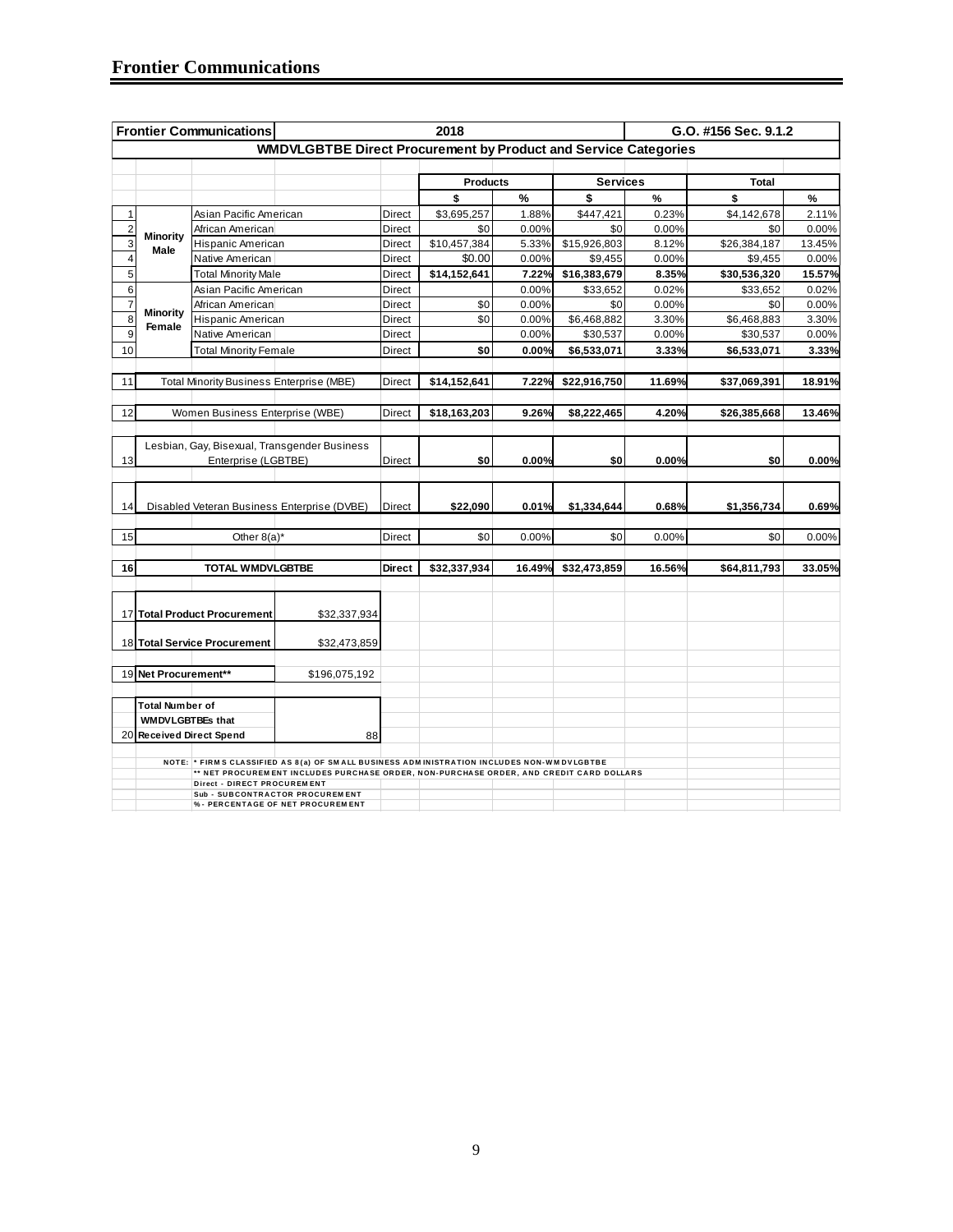|                |                        | <b>Frontier Communications</b>                  |                                                                                           |               | 2018            |        | G.O. #156 Sec. 9.1.2 |        |              |        |
|----------------|------------------------|-------------------------------------------------|-------------------------------------------------------------------------------------------|---------------|-----------------|--------|----------------------|--------|--------------|--------|
|                |                        |                                                 | <b>WMDVLGBTBE Direct Procurement by Product and Service Categories</b>                    |               |                 |        |                      |        |              |        |
|                |                        |                                                 |                                                                                           |               |                 |        |                      |        |              |        |
|                |                        |                                                 |                                                                                           |               | <b>Products</b> |        | <b>Services</b>      |        | Total        |        |
|                |                        |                                                 |                                                                                           |               | \$              | %      | \$                   | $\%$   | \$           | %      |
| 1              |                        | Asian Pacific American                          |                                                                                           | Direct        | \$3,695,257     | 1.88%  | \$447,421            | 0.23%  | \$4,142,678  | 2.11%  |
| $\overline{c}$ |                        | African American                                |                                                                                           | Direct        | \$0             | 0.00%  | \$0                  | 0.00%  | \$0          | 0.00%  |
| 3              | Minority<br>Male       | Hispanic American                               |                                                                                           | Direct        | \$10,457,384    | 5.33%  | \$15,926,803         | 8.12%  | \$26,384,187 | 13.45% |
| $\overline{4}$ |                        | Native American                                 |                                                                                           | Direct        | \$0.00          | 0.00%  | \$9,455              | 0.00%  | \$9,455      | 0.00%  |
| $\overline{5}$ |                        | <b>Total Minority Male</b>                      |                                                                                           | Direct        | \$14,152,641    | 7.22%  | \$16,383,679         | 8.35%  | \$30,536,320 | 15.57% |
| 6              |                        | Asian Pacific American                          |                                                                                           | Direct        |                 | 0.00%  | \$33,652             | 0.02%  | \$33,652     | 0.02%  |
| $\overline{7}$ | <b>Minority</b>        | African American                                |                                                                                           | Direct        | \$0             | 0.00%  | \$0                  | 0.00%  | \$0          | 0.00%  |
| 8              | Female                 | Hispanic American                               |                                                                                           | Direct        | \$0             | 0.00%  | \$6,468,882          | 3.30%  | \$6,468,883  | 3.30%  |
| 9              |                        | Native American                                 |                                                                                           | Direct        |                 | 0.00%  | \$30,537             | 0.00%  | \$30,537     | 0.00%  |
| 10             |                        | <b>Total Minority Female</b>                    |                                                                                           | Direct        | \$0             | 0.00%  | \$6,533,071          | 3.33%  | \$6,533,071  | 3.33%  |
|                |                        |                                                 |                                                                                           |               |                 |        |                      |        |              |        |
| 11             |                        | <b>Total Minority Business Enterprise (MBE)</b> |                                                                                           | Direct        | \$14,152,641    | 7.22%  | \$22,916,750         | 11.69% | \$37,069,391 | 18.91% |
|                |                        |                                                 |                                                                                           |               |                 |        |                      |        |              |        |
| 12             |                        | Women Business Enterprise (WBE)                 |                                                                                           | Direct        | \$18,163,203    | 9.26%  | \$8,222,465          | 4.20%  | \$26,385,668 | 13.46% |
|                |                        |                                                 |                                                                                           |               |                 |        |                      |        |              |        |
|                |                        |                                                 | Lesbian, Gay, Bisexual, Transgender Business                                              |               |                 |        |                      |        |              |        |
| 13             |                        | Enterprise (LGBTBE)                             |                                                                                           | Direct        | \$0             | 0.00%  | \$0                  | 0.00%  | \$0          | 0.00%  |
|                |                        |                                                 |                                                                                           |               |                 |        |                      |        |              |        |
|                |                        |                                                 |                                                                                           |               |                 |        |                      |        |              |        |
| 14             |                        |                                                 | Disabled Veteran Business Enterprise (DVBE)                                               | Direct        | \$22,090        | 0.01%  | \$1,334,644          | 0.68%  | \$1,356,734  | 0.69%  |
|                |                        |                                                 |                                                                                           |               |                 |        |                      |        |              |        |
| 15             |                        | Other $8(a)^*$                                  |                                                                                           | Direct        | \$0             | 0.00%  | \$0                  | 0.00%  | \$0          | 0.00%  |
|                |                        |                                                 |                                                                                           |               |                 |        |                      |        |              |        |
| 16             |                        | <b>TOTAL WMDVLGBTBE</b>                         |                                                                                           | <b>Direct</b> | \$32,337,934    | 16.49% | \$32,473,859         | 16.56% | \$64,811,793 | 33.05% |
|                |                        |                                                 |                                                                                           |               |                 |        |                      |        |              |        |
|                |                        |                                                 |                                                                                           |               |                 |        |                      |        |              |        |
|                |                        | 17 Total Product Procurement                    | \$32,337,934                                                                              |               |                 |        |                      |        |              |        |
|                |                        |                                                 |                                                                                           |               |                 |        |                      |        |              |        |
|                |                        | 18 Total Service Procurement                    | \$32,473,859                                                                              |               |                 |        |                      |        |              |        |
|                |                        |                                                 |                                                                                           |               |                 |        |                      |        |              |        |
| 19             | Net Procurement**      |                                                 | \$196,075,192                                                                             |               |                 |        |                      |        |              |        |
|                |                        |                                                 |                                                                                           |               |                 |        |                      |        |              |        |
|                | <b>Total Number of</b> |                                                 |                                                                                           |               |                 |        |                      |        |              |        |
|                | WMDVLGBTBEs that       |                                                 |                                                                                           |               |                 |        |                      |        |              |        |
| 20             |                        | <b>Received Direct Spend</b>                    | 88                                                                                        |               |                 |        |                      |        |              |        |
|                |                        |                                                 | NOTE: * FIRMS CLASSIFIED AS 8(a) OF SMALL BUSINESS ADMINISTRATION INCLUDES NON-WMDVLGBTBE |               |                 |        |                      |        |              |        |
|                |                        |                                                 | ** NET PROCUREMENT INCLUDES PURCHASE ORDER, NON-PURCHASE ORDER, AND CREDIT CARD DOLLARS   |               |                 |        |                      |        |              |        |
|                |                        | <b>Direct - DIRECT PROCUREMENT</b>              | Sub - SUBCONTRACTOR PROCUREM ENT                                                          |               |                 |        |                      |        |              |        |
|                |                        |                                                 | % - PERCENTAGE OF NET PROCUREMENT                                                         |               |                 |        |                      |        |              |        |
|                |                        |                                                 |                                                                                           |               |                 |        |                      |        |              |        |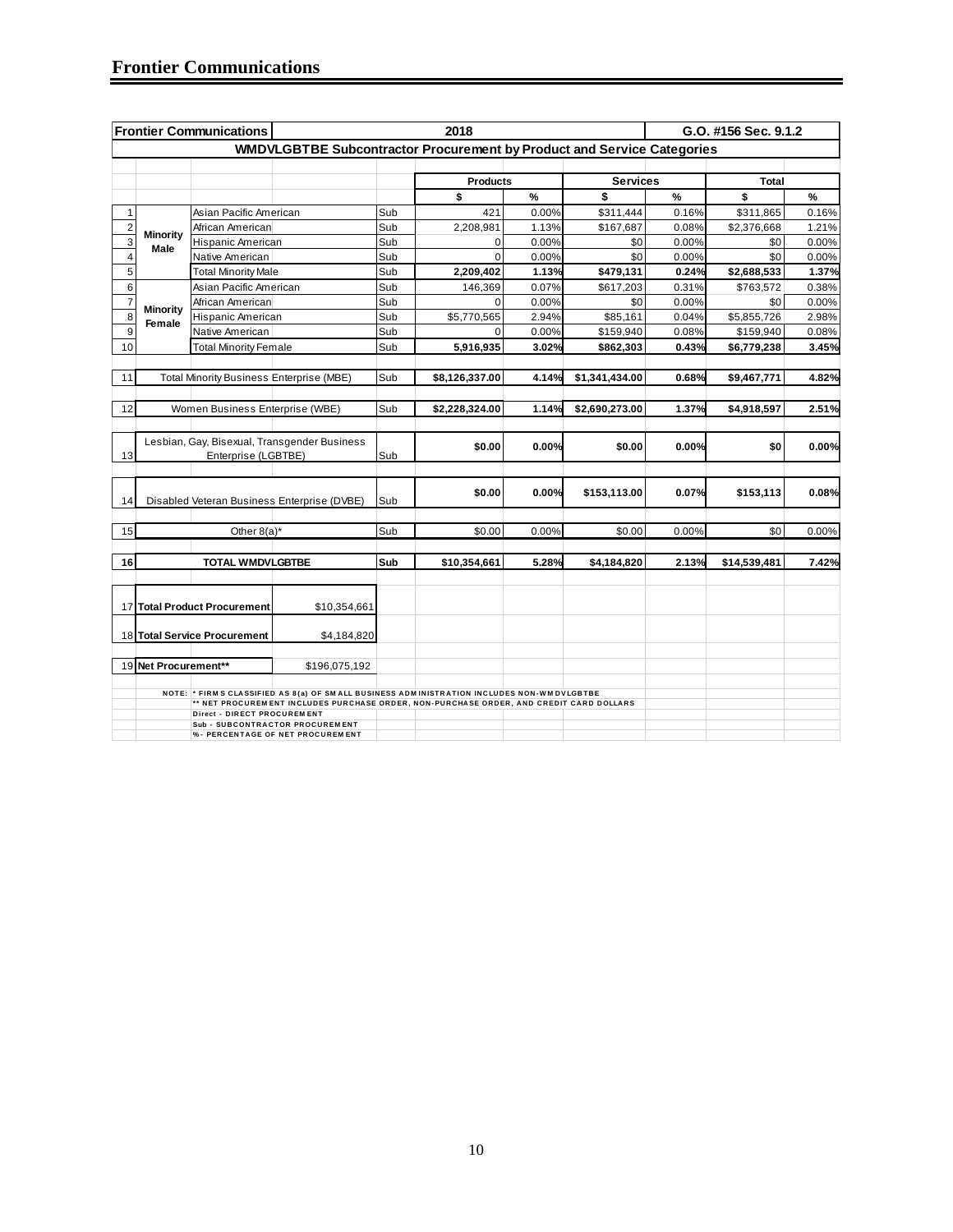|                |                      | <b>Frontier Communications</b>                  |                                                                                                                                                                                      |     | 2018            |               |                 |               | G.O. #156 Sec. 9.1.2 |       |
|----------------|----------------------|-------------------------------------------------|--------------------------------------------------------------------------------------------------------------------------------------------------------------------------------------|-----|-----------------|---------------|-----------------|---------------|----------------------|-------|
|                |                      |                                                 | WMDVLGBTBE Subcontractor Procurement by Product and Service Categories                                                                                                               |     |                 |               |                 |               |                      |       |
|                |                      |                                                 |                                                                                                                                                                                      |     |                 |               |                 |               |                      |       |
|                |                      |                                                 |                                                                                                                                                                                      |     | <b>Products</b> |               | <b>Services</b> |               | Total                |       |
|                |                      |                                                 |                                                                                                                                                                                      |     | \$              | $\frac{9}{6}$ | \$              | $\frac{9}{6}$ | \$                   | %     |
| $\mathbf{1}$   |                      | Asian Pacific American                          |                                                                                                                                                                                      | Sub | 421             | 0.00%         | \$311,444       | 0.16%         | \$311,865            | 0.16% |
| $\overline{2}$ | Minority             | African American                                |                                                                                                                                                                                      | Sub | 2,208,981       | 1.13%         | \$167,687       | 0.08%         | \$2,376,668          | 1.21% |
| 3              | Male                 | Hispanic American                               |                                                                                                                                                                                      | Sub | 0               | 0.00%         | \$0             | 0.00%         | \$0                  | 0.00% |
| 4              |                      | Native American                                 |                                                                                                                                                                                      | Sub | $\Omega$        | 0.00%         | \$0             | 0.00%         | \$0                  | 0.00% |
| 5              |                      | <b>Total Minority Male</b>                      |                                                                                                                                                                                      | Sub | 2,209,402       | 1.13%         | \$479,131       | 0.24%         | \$2,688,533          | 1.37% |
| $\overline{6}$ |                      | Asian Pacific American                          |                                                                                                                                                                                      | Sub | 146,369         | 0.07%         | \$617,203       | 0.31%         | \$763,572            | 0.38% |
| $\overline{7}$ | Minority             | African American                                |                                                                                                                                                                                      | Sub | $\mathbf 0$     | 0.00%         | \$0             | 0.00%         | \$0                  | 0.00% |
| 8              | Female               | Hispanic American                               |                                                                                                                                                                                      | Sub | \$5,770,565     | 2.94%         | \$85,161        | 0.04%         | \$5,855,726          | 2.98% |
| 9              |                      | Native American                                 |                                                                                                                                                                                      | Sub | $\Omega$        | 0.00%         | \$159,940       | 0.08%         | \$159,940            | 0.08% |
| 10             |                      | <b>Total Minority Female</b>                    |                                                                                                                                                                                      | Sub | 5,916,935       | 3.02%         | \$862,303       | 0.43%         | \$6,779,238          | 3.45% |
|                |                      |                                                 |                                                                                                                                                                                      |     |                 |               |                 |               |                      |       |
| 11             |                      | <b>Total Minority Business Enterprise (MBE)</b> |                                                                                                                                                                                      | Sub | \$8,126,337.00  | 4.14%         | \$1,341,434.00  | 0.68%         | \$9,467,771          | 4.82% |
|                |                      |                                                 |                                                                                                                                                                                      |     |                 |               |                 |               |                      |       |
| 12             |                      | Women Business Enterprise (WBE)                 |                                                                                                                                                                                      | Sub | \$2,228,324.00  | 1.14%         | \$2,690,273.00  | 1.37%         | \$4,918,597          | 2.51% |
|                |                      |                                                 |                                                                                                                                                                                      |     |                 |               |                 |               |                      |       |
|                |                      |                                                 | Lesbian, Gay, Bisexual, Transgender Business                                                                                                                                         |     | \$0.00          | 0.00%         | \$0.00          | 0.00%         | \$0                  | 0.00% |
| 13             |                      | Enterprise (LGBTBE)                             |                                                                                                                                                                                      | Sub |                 |               |                 |               |                      |       |
|                |                      |                                                 |                                                                                                                                                                                      |     |                 |               |                 |               |                      |       |
|                |                      |                                                 |                                                                                                                                                                                      |     | \$0.00          | 0.00%         | \$153,113.00    | 0.07%         | \$153,113            | 0.08% |
| 14             |                      |                                                 | Disabled Veteran Business Enterprise (DVBE)                                                                                                                                          | Sub |                 |               |                 |               |                      |       |
|                |                      |                                                 |                                                                                                                                                                                      |     |                 |               |                 |               |                      |       |
| 15             |                      | Other $8(a)^*$                                  |                                                                                                                                                                                      | Sub | \$0.00          | 0.00%         | \$0.00          | 0.00%         | \$0                  | 0.00% |
| 16             |                      | <b>TOTAL WMDVLGBTBE</b>                         |                                                                                                                                                                                      | Sub | \$10,354,661    | 5.28%         | \$4,184,820     | 2.13%         | \$14,539,481         | 7.42% |
|                |                      |                                                 |                                                                                                                                                                                      |     |                 |               |                 |               |                      |       |
|                |                      |                                                 |                                                                                                                                                                                      |     |                 |               |                 |               |                      |       |
|                |                      | 17 Total Product Procurement                    | \$10,354,661                                                                                                                                                                         |     |                 |               |                 |               |                      |       |
|                |                      |                                                 |                                                                                                                                                                                      |     |                 |               |                 |               |                      |       |
|                |                      | 18 Total Service Procurement                    | \$4,184,820                                                                                                                                                                          |     |                 |               |                 |               |                      |       |
|                |                      |                                                 |                                                                                                                                                                                      |     |                 |               |                 |               |                      |       |
|                | 19 Net Procurement** |                                                 | \$196,075,192                                                                                                                                                                        |     |                 |               |                 |               |                      |       |
|                |                      |                                                 |                                                                                                                                                                                      |     |                 |               |                 |               |                      |       |
|                |                      |                                                 | NOTE: * FIRMS CLASSIFIED AS 8(a) OF SMALL BUSINESS ADMINISTRATION INCLUDES NON-WMDVLGBTBE<br>** NET PROCUREMENT INCLUDES PURCHASE ORDER, NON-PURCHASE ORDER, AND CREDIT CARD DOLLARS |     |                 |               |                 |               |                      |       |
|                |                      | Direct - DIRECT PROCUREMENT                     |                                                                                                                                                                                      |     |                 |               |                 |               |                      |       |
|                |                      |                                                 | Sub - SUBCONTRACTOR PROCUREMENT                                                                                                                                                      |     |                 |               |                 |               |                      |       |
|                |                      |                                                 | %- PERCENTAGE OF NET PROCUREMENT                                                                                                                                                     |     |                 |               |                 |               |                      |       |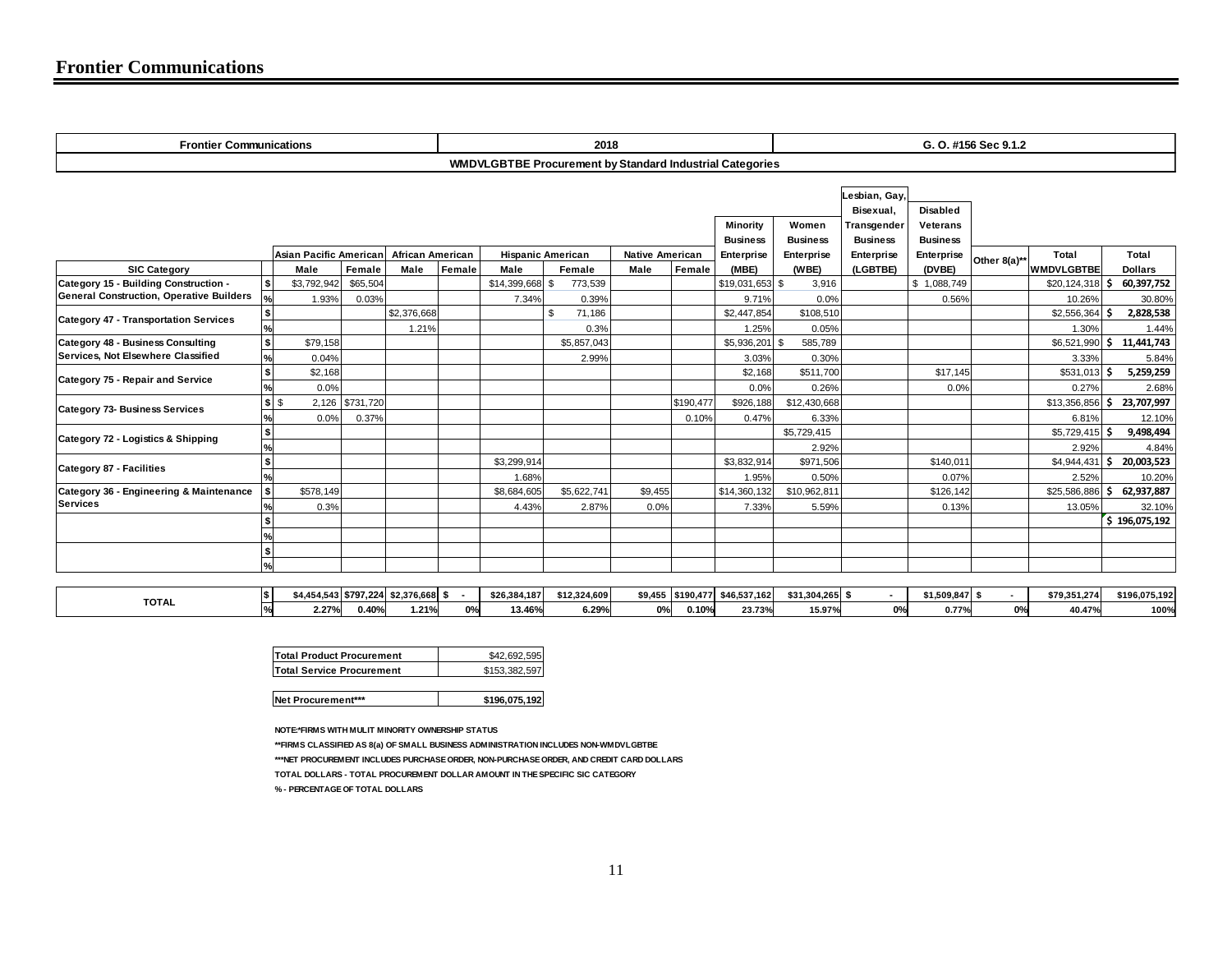| <b>Frontier Communications</b>                                                 |                           |                        |           |                                      | 2018     |              |                                                                 |                        | G. O. #156 Sec 9.1.2 |                                           |                               |                                      |                               |              |                   |      |                |
|--------------------------------------------------------------------------------|---------------------------|------------------------|-----------|--------------------------------------|----------|--------------|-----------------------------------------------------------------|------------------------|----------------------|-------------------------------------------|-------------------------------|--------------------------------------|-------------------------------|--------------|-------------------|------|----------------|
|                                                                                |                           |                        |           |                                      |          |              | <b>WMDVLGBTBE Procurement by Standard Industrial Categories</b> |                        |                      |                                           |                               |                                      |                               |              |                   |      |                |
|                                                                                |                           |                        |           |                                      | Minority |              |                                                                 |                        | Women                | Lesbian, Gay,<br>Bisexual,<br>Transgender | <b>Disabled</b><br>Veterans   |                                      |                               |              |                   |      |                |
|                                                                                |                           | Asian Pacific American |           | <b>African American</b>              |          |              | <b>Hispanic American</b>                                        | <b>Native American</b> |                      | <b>Business</b><br>Enterprise             | <b>Business</b><br>Enterprise | <b>Business</b><br><b>Enterprise</b> | <b>Business</b><br>Enterprise |              | Total             |      | Total          |
| <b>SIC Category</b>                                                            |                           | Male                   | Female    | Male                                 | Female   | Male         | Female                                                          | Male                   | Female               | (MBE)                                     | (WBE)                         | (LGBTBE)                             | (DVBE)                        | Other 8(a)** | <b>WMDVLGBTBE</b> |      | <b>Dollars</b> |
| Category 15 - Building Construction -                                          | \$                        | \$3,792,942            | \$65,504  |                                      |          | \$14,399,668 | 773,539<br>\$                                                   |                        |                      | \$19,031,653 \$                           | 3,916                         |                                      | \$1,088,749                   |              | $$20,124,318$ \$  |      | 60,397,752     |
| General Construction, Operative Builders                                       | $\%$                      | 1.93%                  | 0.03%     |                                      |          | 7.34%        | 0.39%                                                           |                        |                      | 9.71%                                     | 0.0%                          |                                      | 0.56%                         |              | 10.26%            |      | 30.80%         |
| Category 47 - Transportation Services                                          | $\frac{$}{\%}$            |                        |           | \$2,376,668                          |          |              | \$<br>71,186                                                    |                        |                      | \$2,447,854                               | \$108,510                     |                                      |                               |              | $$2,556,364$ \$   |      | 2,828,538      |
|                                                                                |                           |                        |           | 1.21%                                |          |              | 0.3%                                                            |                        |                      | 1.25%                                     | 0.05%                         |                                      |                               |              | 1.30%             |      | 1.44%          |
| <b>Category 48 - Business Consulting</b><br>Services, Not Elsewhere Classified | $\bullet$                 | \$79,158               |           |                                      |          |              | \$5,857,043                                                     |                        |                      | \$5,936,201                               | 585,789                       |                                      |                               |              | \$6,521,990       | - \$ | 11,441,743     |
|                                                                                | $\frac{9}{6}$             | 0.04%                  |           |                                      |          |              | 2.99%                                                           |                        |                      | 3.03%                                     | 0.30%                         |                                      |                               |              | 3.33%             |      | 5.84%          |
| Category 75 - Repair and Service                                               | $\boldsymbol{\mathsf{s}}$ | \$2,168                |           |                                      |          |              |                                                                 |                        |                      | \$2,168                                   | \$511,700                     |                                      | \$17,145                      |              | $$531,013$ \$     |      | 5,259,259      |
|                                                                                | $\frac{9}{6}$             | 0.0%                   |           |                                      |          |              |                                                                 |                        |                      | 0.0%                                      | 0.26%                         |                                      | 0.0%                          |              | 0.27%             |      | 2.68%          |
| <b>Category 73- Business Services</b>                                          | \$                        | 2,126                  | \$731,720 |                                      |          |              |                                                                 |                        | \$190,477            | \$926,188                                 | \$12,430,668                  |                                      |                               |              | $$13,356,856$ \$  |      | 23,707,997     |
|                                                                                | $\frac{9}{6}$             | 0.0%                   | 0.37%     |                                      |          |              |                                                                 |                        | 0.10%                | 0.47%                                     | 6.33%                         |                                      |                               |              | 6.81%             |      | 12.10%         |
| Category 72 - Logistics & Shipping                                             | l\$                       |                        |           |                                      |          |              |                                                                 |                        |                      |                                           | \$5,729,415                   |                                      |                               |              | $$5,729,415$ \$   |      | 9,498,494      |
|                                                                                | $\frac{1}{6}$             |                        |           |                                      |          |              |                                                                 |                        |                      |                                           | 2.92%                         |                                      |                               |              | 2.92%             |      | 4.84%          |
| <b>Category 87 - Facilities</b>                                                | l\$                       |                        |           |                                      |          | \$3,299,914  |                                                                 |                        |                      | \$3,832,914                               | \$971,506                     |                                      | \$140,011                     |              | $$4,944,431$ \$   |      | 20,003,523     |
|                                                                                | ℅                         |                        |           |                                      |          | 1.68%        |                                                                 |                        |                      | 1.95%                                     | 0.50%                         |                                      | 0.07%                         |              | 2.52%             |      | 10.20%         |
| Category 36 - Engineering & Maintenance<br><b>Services</b>                     | l \$                      | \$578,149              |           |                                      |          | \$8,684,605  | \$5,622,741                                                     | \$9,455                |                      | \$14,360,132                              | \$10,962,811                  |                                      | \$126,142                     |              | \$25,586,886      | .s   | 62,937,887     |
|                                                                                |                           | 0.3%                   |           |                                      |          | 4.43%        | 2.87%                                                           | 0.0%                   |                      | 7.33%                                     | 5.59%                         |                                      | 0.13%                         |              | 13.05%            |      | 32.10%         |
|                                                                                | $\sim$                    |                        |           |                                      |          |              |                                                                 |                        |                      |                                           |                               |                                      |                               |              |                   |      | 5 196,075,192  |
|                                                                                | l\$                       |                        |           |                                      |          |              |                                                                 |                        |                      |                                           |                               |                                      |                               |              |                   |      |                |
|                                                                                | %                         |                        |           |                                      |          |              |                                                                 |                        |                      |                                           |                               |                                      |                               |              |                   |      |                |
|                                                                                |                           |                        |           |                                      |          |              |                                                                 |                        |                      |                                           |                               |                                      |                               |              |                   |      |                |
|                                                                                | \$                        |                        |           | \$4,454,543 \$797,224 \$2,376,668 \$ |          | \$26,384,187 | \$12,324,609                                                    |                        |                      | \$9,455 \$190,477 \$46,537,162            | $$31,304,265$ \$              |                                      | $$1,509,847$ \$               |              | \$79,351,274      |      | \$196,075,192  |
| <b>TOTAL</b>                                                                   |                           |                        |           |                                      |          |              |                                                                 |                        |                      |                                           |                               |                                      |                               |              |                   |      |                |

**% 2.27% 0.40% 1.21% 0% 13.46% 6.29% 0% 0.10% 23.73% 15.97% 0% 0.77% 0% 40.47% 100%**

**Net Procurement\*\*\* \$196,075,192** 

**NOTE:\*FIRMS WITH MULIT MINORITY OWNERSHIP STATUS**

**\*\*FIRMS CLASSIFIED AS 8(a) OF SMALL BUSINESS ADMINISTRATION INCLUDES NON-WMDVLGBTBE \*\*\*NET PROCUREMENT INCLUDES PURCHASE ORDER, NON-PURCHASE ORDER, AND CREDIT CARD DOLLARS TOTAL DOLLARS - TOTAL PROCUREMENT DOLLAR AMOUNT IN THE SPECIFIC SIC CATEGORY** 

**% - PERCENTAGE OF TOTAL DOLLARS**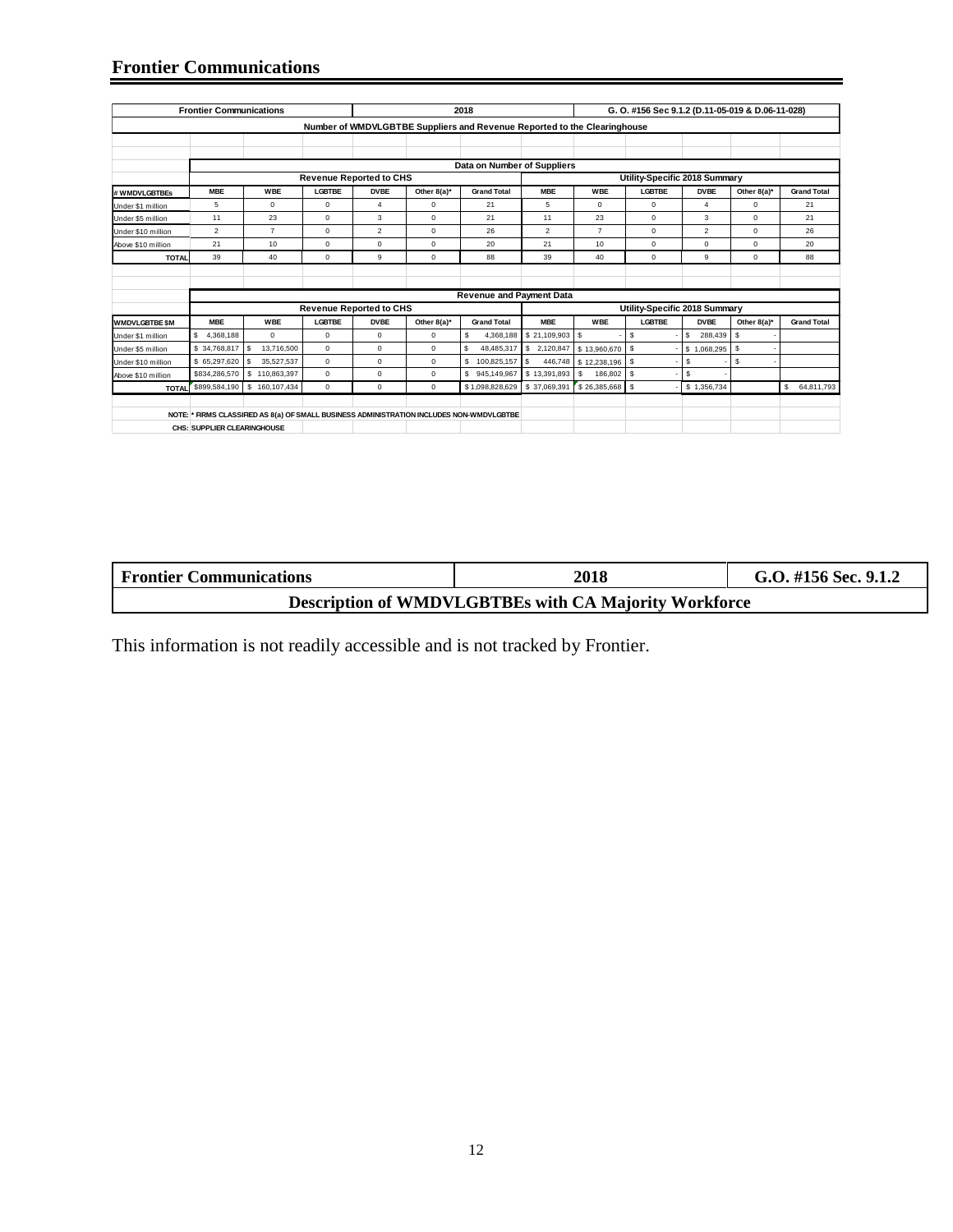#### **Frontier Communications**

|                       | <b>Frontier Communications</b> |                  |               |                                |             | 2018                                                                                      |                         |                | G. O. #156 Sec 9.1.2 (D.11-05-019 & D.06-11-028) |                |                |                    |
|-----------------------|--------------------------------|------------------|---------------|--------------------------------|-------------|-------------------------------------------------------------------------------------------|-------------------------|----------------|--------------------------------------------------|----------------|----------------|--------------------|
|                       |                                |                  |               |                                |             |                                                                                           |                         |                |                                                  |                |                |                    |
|                       |                                |                  |               |                                |             | Number of WMDVLGBTBE Suppliers and Revenue Reported to the Clearinghouse                  |                         |                |                                                  |                |                |                    |
|                       |                                |                  |               |                                |             |                                                                                           |                         |                |                                                  |                |                |                    |
|                       |                                |                  |               |                                |             |                                                                                           |                         |                |                                                  |                |                |                    |
|                       |                                |                  |               |                                |             | Data on Number of Suppliers                                                               |                         |                |                                                  |                |                |                    |
|                       |                                |                  |               | <b>Revenue Reported to CHS</b> |             |                                                                                           |                         |                | Utility-Specific 2018 Summary                    |                |                |                    |
| # WMDVLGBTBEs         | <b>MBE</b>                     | <b>WBE</b>       | LGBTBE        | <b>DVBE</b>                    | Other 8(a)* | <b>Grand Total</b>                                                                        | <b>MBE</b>              | WBE            | <b>LGBTBE</b>                                    | <b>DVBE</b>    | Other 8(a)*    | <b>Grand Total</b> |
| Under \$1 million     | 5                              | $\Omega$         | $\Omega$      | $\Delta$                       | $\Omega$    | 21                                                                                        | 5                       | $\Omega$       | $\Omega$                                         | $\overline{4}$ | $\Omega$       | 21                 |
| Under \$5 million     | 11                             | 23               | $\mathbf 0$   | 3                              | $\Omega$    | 21                                                                                        | 11                      | 23             | $\Omega$                                         | 3              | $\Omega$       | 21                 |
| Under \$10 million    | $\overline{2}$                 | $\overline{7}$   | $\mathbf 0$   | $\overline{2}$                 | $\mathbf 0$ | 26                                                                                        | $\overline{2}$          | $\overline{7}$ | $\circ$                                          | $\overline{2}$ | $\mathbf 0$    | 26                 |
| Above \$10 million    | 21                             | 10               | $\Omega$      | $\Omega$                       | $\Omega$    | 20                                                                                        | 21                      | 10             | $\Omega$                                         | $\Omega$       | $\Omega$       | 20                 |
| <b>TOTAL</b>          | 39                             | 40               | 0             | 9                              | $\Omega$    | 88                                                                                        | 39                      | 40             | $\circ$                                          | 9              | $\mathbf 0$    | 88                 |
|                       |                                |                  |               |                                |             |                                                                                           |                         |                |                                                  |                |                |                    |
|                       |                                |                  |               |                                |             |                                                                                           |                         |                |                                                  |                |                |                    |
|                       |                                |                  |               |                                |             | <b>Revenue and Payment Data</b>                                                           |                         |                |                                                  |                |                |                    |
|                       |                                |                  |               | <b>Revenue Reported to CHS</b> |             |                                                                                           |                         |                | Utility-Specific 2018 Summary                    |                |                |                    |
| <b>WMDVLGBTBE \$M</b> | <b>MBE</b>                     | <b>WBE</b>       | <b>LGBTBE</b> | <b>DVBE</b>                    | Other 8(a)* | <b>Grand Total</b>                                                                        | <b>MBE</b>              | WBE            | LGBTBE                                           | <b>DVBE</b>    | Other $8(a)^*$ | <b>Grand Total</b> |
| Under \$1 million     | s<br>4,368,188                 | $\mathbf 0$      | $\mathbf 0$   | $\mathbf 0$                    | $\mathbf 0$ | \$<br>4,368,188                                                                           | \$21,109,903            | l \$           | s                                                | s.<br>288,439  | s.             |                    |
| Under \$5 million     | \$34,768,817                   | S.<br>13,716,500 | $\mathbf 0$   | $\mathbf 0$                    | $\mathbf 0$ | S<br>48,485,317                                                                           | \$2,120,847             | \$13,960,670   | $\mathsf{s}$                                     | \$1,068,295    | \$             |                    |
| Under \$10 million    | \$65,297,620                   | s<br>35.527.537  | $\Omega$      | $\Omega$                       | $\mathbf 0$ | S.<br>100,825,157                                                                         | 446,748<br>$\mathbf{s}$ | \$12,238,196   | l s                                              | S.             | s.             |                    |
| Above \$10 million    | \$834,286,570                  | \$110,863,397    | $^{\circ}$    | $\mathbf 0$                    | $\mathbf 0$ | \$945,149,967                                                                             | \$13,391,893            | 186,802<br>s.  | l s                                              | \$             |                |                    |
| <b>TOTAL</b>          | \$899,584,190                  | \$160,107,434    | $\mathbf 0$   | $\Omega$                       | $\mathbf 0$ | \$1,098,828,629                                                                           | \$37,069,391            | \$26,385,668   | s                                                | \$1,356,734    |                | \$<br>64,811,793   |
|                       |                                |                  |               |                                |             |                                                                                           |                         |                |                                                  |                |                |                    |
|                       |                                |                  |               |                                |             | NOTE: * FIRMS CLASSIFIED AS 8(a) OF SMALL BUSINESS ADMINISTRATION INCLUDES NON-WMDVLGBTBE |                         |                |                                                  |                |                |                    |
|                       | CHS: SUPPLIER CLEARINGHOUSE    |                  |               |                                |             |                                                                                           |                         |                |                                                  |                |                |                    |
|                       |                                |                  |               |                                |             |                                                                                           |                         |                |                                                  |                |                |                    |

| <b>Frontier Communications</b> | 2018                                                         | G.O. #156 Sec. 9.1.2 |
|--------------------------------|--------------------------------------------------------------|----------------------|
|                                | <b>Description of WMDVLGBTBEs with CA Majority Workforce</b> |                      |

This information is not readily accessible and is not tracked by Frontier.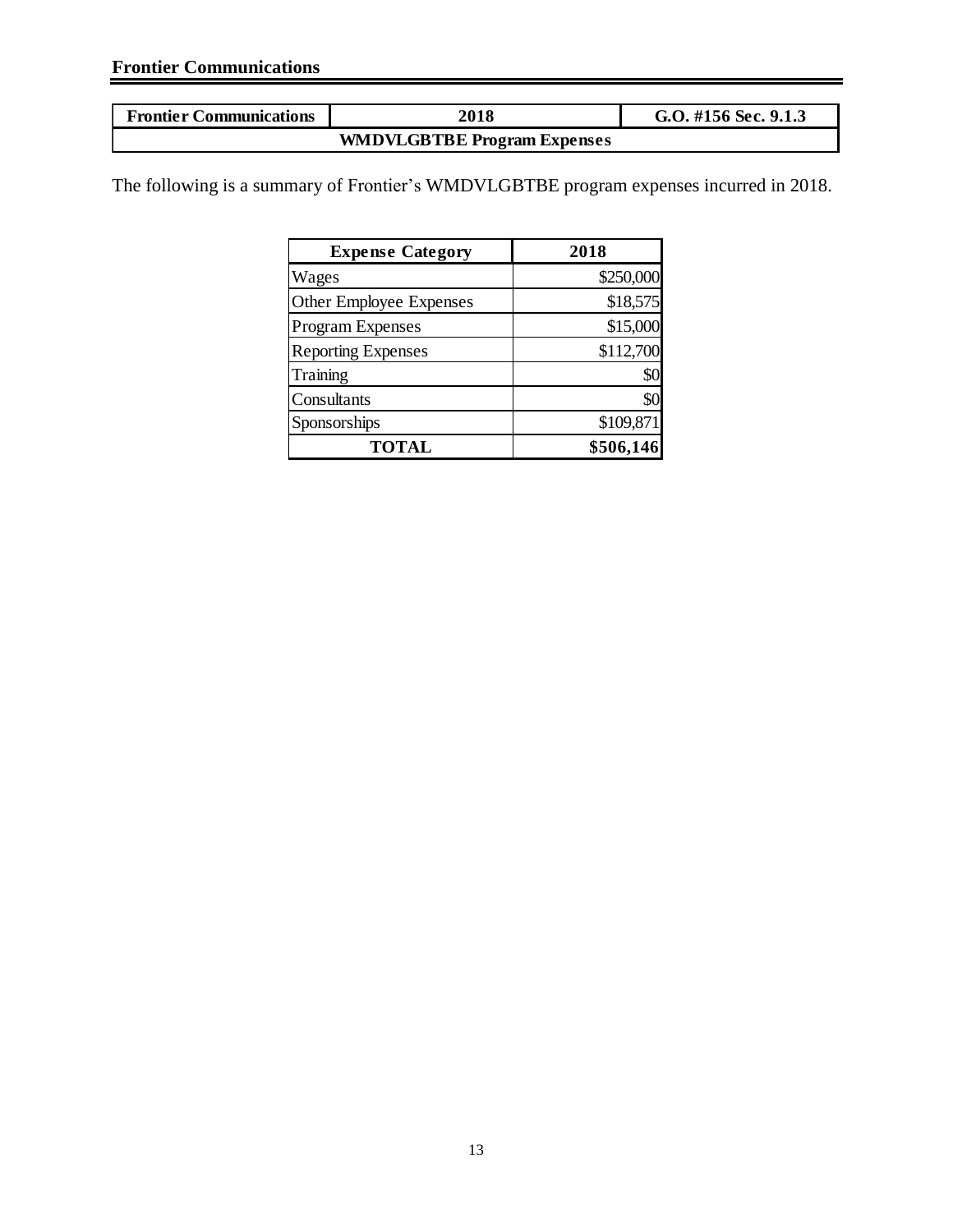| <b>Frontier Communications</b> | 2018                               | G.O. #156 Sec. 9.1.3 |
|--------------------------------|------------------------------------|----------------------|
|                                | <b>WMDVLGBTBE Program Expenses</b> |                      |

The following is a summary of Frontier's WMDVLGBTBE program expenses incurred in 2018.

| <b>Expense Category</b>   | 2018      |
|---------------------------|-----------|
| Wages                     | \$250,000 |
| Other Employee Expenses   | \$18,575  |
| <b>Program Expenses</b>   | \$15,000  |
| <b>Reporting Expenses</b> | \$112,700 |
| Training                  | \$0       |
| Consultants               | \$0       |
| Sponsorships              | \$109,871 |
| <b>TOTAL</b>              | \$506,146 |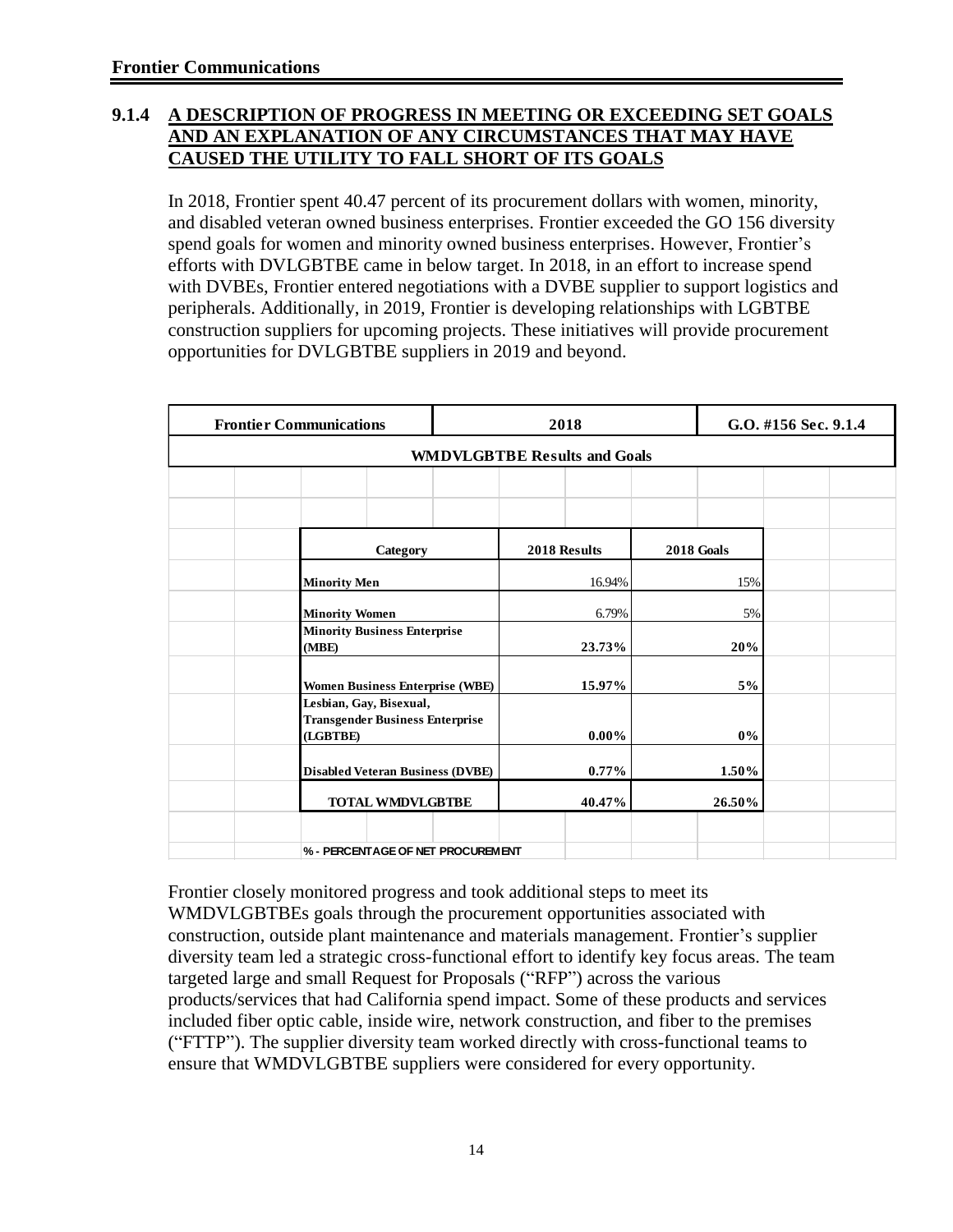#### **9.1.4 A DESCRIPTION OF PROGRESS IN MEETING OR EXCEEDING SET GOALS AND AN EXPLANATION OF ANY CIRCUMSTANCES THAT MAY HAVE CAUSED THE UTILITY TO FALL SHORT OF ITS GOALS**

In 2018, Frontier spent 40.47 percent of its procurement dollars with women, minority, and disabled veteran owned business enterprises. Frontier exceeded the GO 156 diversity spend goals for women and minority owned business enterprises. However, Frontier's efforts with DVLGBTBE came in below target. In 2018, in an effort to increase spend with DVBEs, Frontier entered negotiations with a DVBE supplier to support logistics and peripherals. Additionally, in 2019, Frontier is developing relationships with LGBTBE construction suppliers for upcoming projects. These initiatives will provide procurement opportunities for DVLGBTBE suppliers in 2019 and beyond.

| <b>Frontier Communications</b>                                                | 2018                                |                   | G.O. #156 Sec. 9.1.4 |
|-------------------------------------------------------------------------------|-------------------------------------|-------------------|----------------------|
|                                                                               | <b>WMDVLGBTBE Results and Goals</b> |                   |                      |
|                                                                               |                                     |                   |                      |
|                                                                               |                                     |                   |                      |
| Category                                                                      | 2018 Results                        | <b>2018 Goals</b> |                      |
| <b>Minority Men</b>                                                           | 16.94%                              | 15%               |                      |
| <b>Minority Women</b>                                                         | 6.79%                               | 5%                |                      |
| <b>Minority Business Enterprise</b><br>(MBE)                                  | 23.73%                              | 20%               |                      |
| <b>Women Business Enterprise (WBE)</b>                                        | 15.97%                              | 5%                |                      |
| Lesbian, Gay, Bisexual,<br><b>Transgender Business Enterprise</b><br>(LGBTBE) | $0.00\%$                            | $0\%$             |                      |
| <b>Disabled Veteran Business (DVBE)</b>                                       | $0.77\%$                            | 1.50%             |                      |
| <b>TOTAL WMDVLGBTBE</b>                                                       | 40.47%                              | 26.50%            |                      |
|                                                                               |                                     |                   |                      |
| % - PERCENTAGE OF NET PROCUREMENT                                             |                                     |                   |                      |

Frontier closely monitored progress and took additional steps to meet its WMDVLGBTBEs goals through the procurement opportunities associated with construction, outside plant maintenance and materials management. Frontier's supplier diversity team led a strategic cross-functional effort to identify key focus areas. The team targeted large and small Request for Proposals ("RFP") across the various products/services that had California spend impact. Some of these products and services included fiber optic cable, inside wire, network construction, and fiber to the premises ("FTTP"). The supplier diversity team worked directly with cross-functional teams to ensure that WMDVLGBTBE suppliers were considered for every opportunity.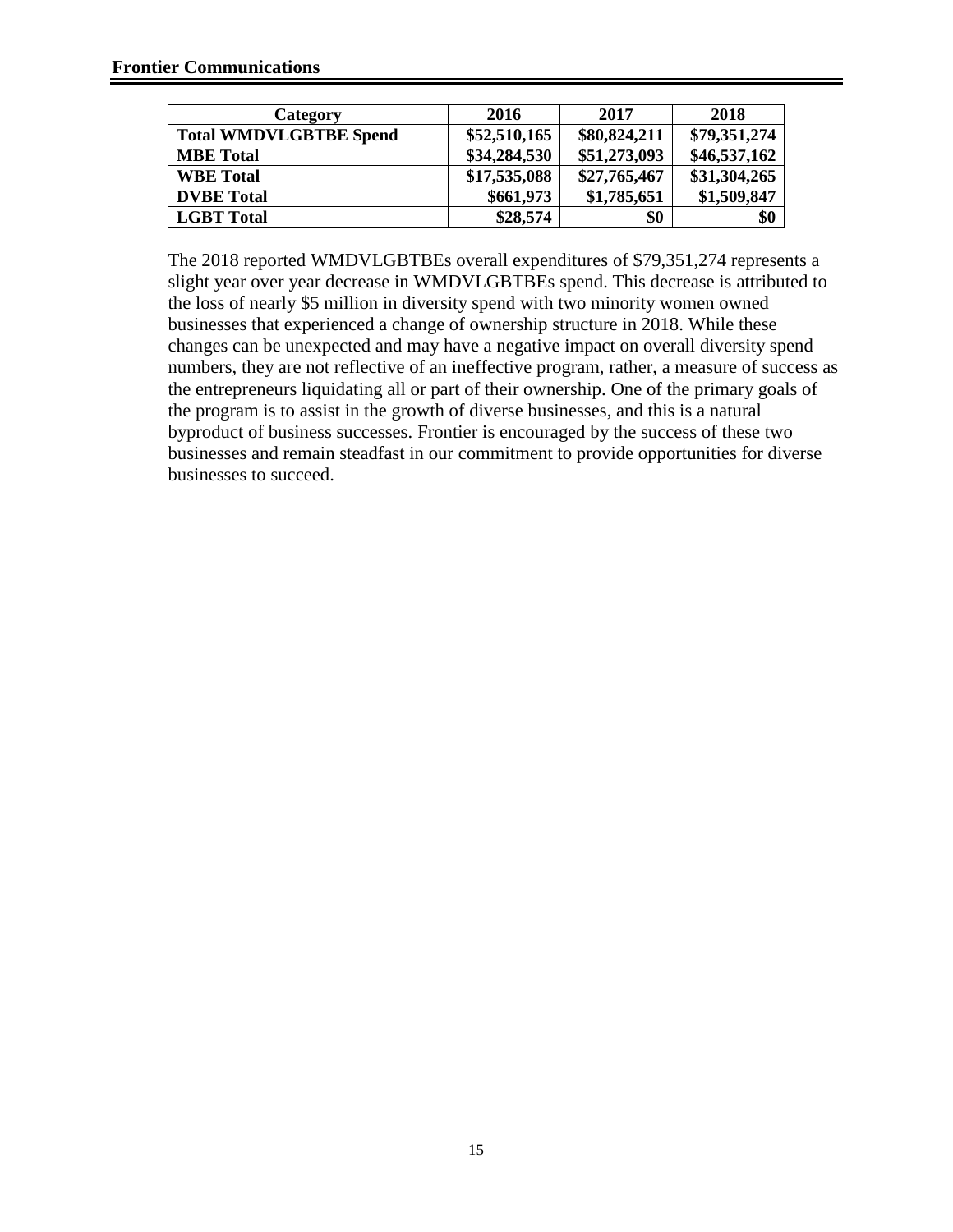| Category                      | 2016         | 2017         | 2018         |
|-------------------------------|--------------|--------------|--------------|
| <b>Total WMDVLGBTBE Spend</b> | \$52,510,165 | \$80,824,211 | \$79,351,274 |
| <b>MBE</b> Total              | \$34,284,530 | \$51,273,093 | \$46,537,162 |
| <b>WBE Total</b>              | \$17,535,088 | \$27,765,467 | \$31,304,265 |
| <b>DVBE</b> Total             | \$661,973    | \$1,785,651  | \$1,509,847  |
| <b>LGBT</b> Total             | \$28,574     | \$0          | \$0          |

The 2018 reported WMDVLGBTBEs overall expenditures of \$79,351,274 represents a slight year over year decrease in WMDVLGBTBEs spend. This decrease is attributed to the loss of nearly \$5 million in diversity spend with two minority women owned businesses that experienced a change of ownership structure in 2018. While these changes can be unexpected and may have a negative impact on overall diversity spend numbers, they are not reflective of an ineffective program, rather, a measure of success as the entrepreneurs liquidating all or part of their ownership. One of the primary goals of the program is to assist in the growth of diverse businesses, and this is a natural byproduct of business successes. Frontier is encouraged by the success of these two businesses and remain steadfast in our commitment to provide opportunities for diverse businesses to succeed.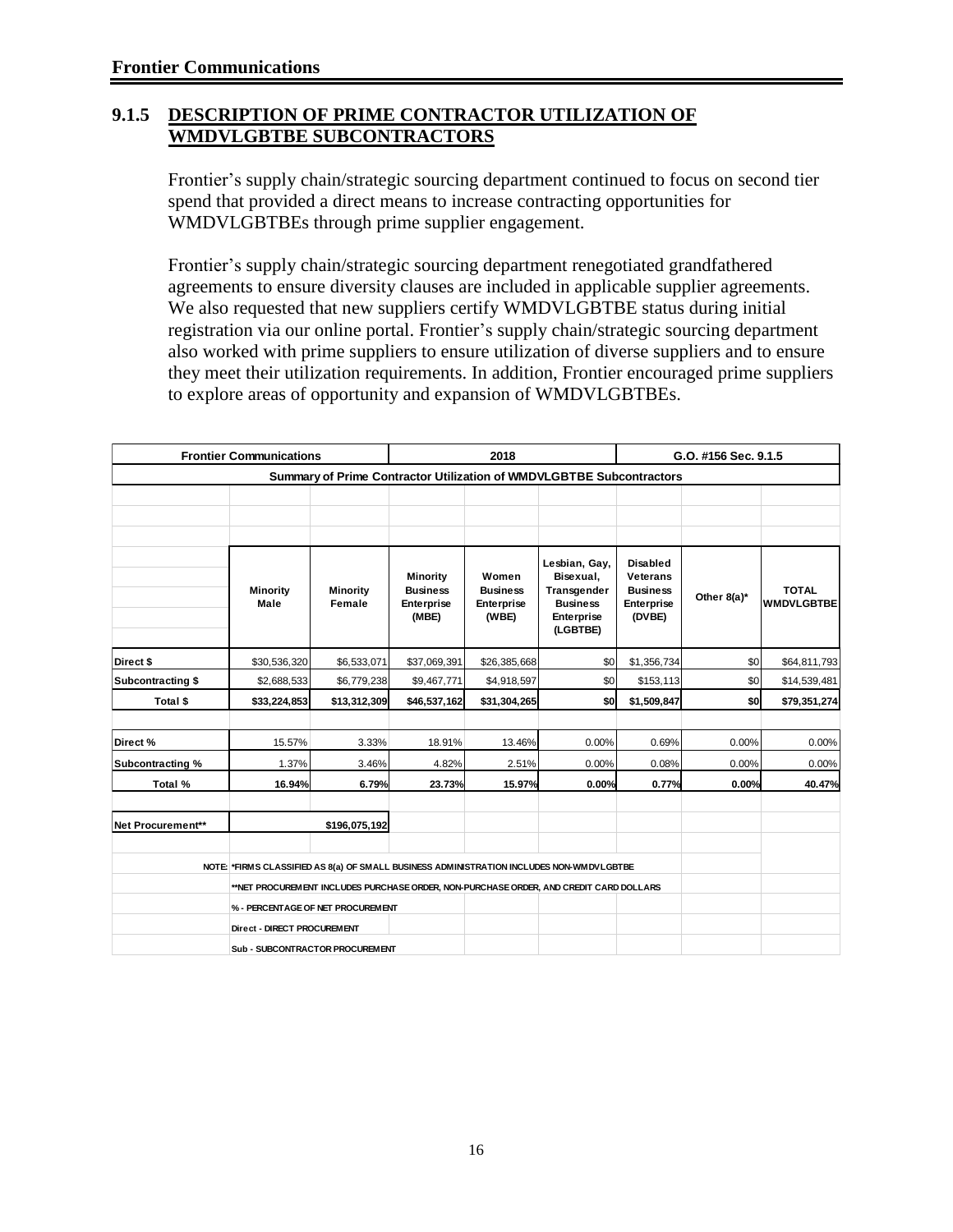#### **9.1.5 DESCRIPTION OF PRIME CONTRACTOR UTILIZATION OF WMDVLGBTBE SUBCONTRACTORS**

Frontier's supply chain/strategic sourcing department continued to focus on second tier spend that provided a direct means to increase contracting opportunities for WMDVLGBTBEs through prime supplier engagement.

Frontier's supply chain/strategic sourcing department renegotiated grandfathered agreements to ensure diversity clauses are included in applicable supplier agreements. We also requested that new suppliers certify WMDVLGBTBE status during initial registration via our online portal. Frontier's supply chain/strategic sourcing department also worked with prime suppliers to ensure utilization of diverse suppliers and to ensure they meet their utilization requirements. In addition, Frontier encouraged prime suppliers to explore areas of opportunity and expansion of WMDVLGBTBEs.

| <b>Frontier Communications</b> |                                                                                          | 2018                                                                 |                                                           | G.O. #156 Sec. 9.1.5                            |                                                                                        |                                                                               |             |                                   |  |  |
|--------------------------------|------------------------------------------------------------------------------------------|----------------------------------------------------------------------|-----------------------------------------------------------|-------------------------------------------------|----------------------------------------------------------------------------------------|-------------------------------------------------------------------------------|-------------|-----------------------------------|--|--|
|                                |                                                                                          | Summary of Prime Contractor Utilization of WMDVLGBTBE Subcontractors |                                                           |                                                 |                                                                                        |                                                                               |             |                                   |  |  |
|                                |                                                                                          |                                                                      |                                                           |                                                 |                                                                                        |                                                                               |             |                                   |  |  |
|                                |                                                                                          |                                                                      |                                                           |                                                 |                                                                                        |                                                                               |             |                                   |  |  |
|                                |                                                                                          |                                                                      |                                                           |                                                 |                                                                                        |                                                                               |             |                                   |  |  |
|                                | <b>Minority</b><br>Male                                                                  | <b>Minority</b><br>Female                                            | <b>Minority</b><br><b>Business</b><br>Enterprise<br>(MBE) | Women<br><b>Business</b><br>Enterprise<br>(WBE) | Lesbian, Gay,<br>Bisexual,<br>Transgender<br><b>Business</b><br>Enterprise<br>(LGBTBE) | <b>Disabled</b><br><b>Veterans</b><br><b>Business</b><br>Enterprise<br>(DVBE) | Other 8(a)* | <b>TOTAL</b><br><b>WMDVLGBTBE</b> |  |  |
| Direct \$                      | \$30,536,320                                                                             | \$6,533,071                                                          | \$37,069,391                                              | \$26,385,668                                    | \$0                                                                                    | \$1,356,734                                                                   | \$0         | \$64,811,793                      |  |  |
| Subcontracting \$              | \$2,688,533                                                                              | \$6,779,238                                                          | \$9,467,771                                               | \$4,918,597                                     | \$0                                                                                    | \$153,113                                                                     | \$0         | \$14,539,481                      |  |  |
| Total \$                       | \$33,224,853                                                                             | \$13,312,309                                                         | \$46,537,162                                              | \$31,304,265                                    | \$0                                                                                    | \$1,509,847                                                                   | \$0         | \$79,351,274                      |  |  |
|                                |                                                                                          |                                                                      |                                                           |                                                 |                                                                                        |                                                                               |             |                                   |  |  |
| Direct%                        | 15.57%                                                                                   | 3.33%                                                                | 18.91%                                                    | 13.46%                                          | 0.00%                                                                                  | 0.69%                                                                         | 0.00%       | 0.00%                             |  |  |
| Subcontracting %               | 1.37%                                                                                    | 3.46%                                                                | 4.82%                                                     | 2.51%<br>0.00%                                  |                                                                                        | 0.08%                                                                         | 0.00%       | 0.00%                             |  |  |
| Total %                        | 16.94%                                                                                   | 6.79%                                                                | 23.73%                                                    | 15.97%                                          | 0.00%                                                                                  | 0.77%                                                                         | 0.00%       | 40.47%                            |  |  |
| Net Procurement**              |                                                                                          | \$196,075,192                                                        |                                                           |                                                 |                                                                                        |                                                                               |             |                                   |  |  |
|                                | NOTE: *FIRMS CLASSIFIED AS 8(a) OF SMALL BUSINESS ADMINISTRATION INCLUDES NON-WMDVLGBTBE |                                                                      |                                                           |                                                 |                                                                                        |                                                                               |             |                                   |  |  |
|                                | **NET PROCUREMENT INCLUDES PURCHASE ORDER, NON-PURCHASE ORDER, AND CREDIT CARD DOLLARS   |                                                                      |                                                           |                                                 |                                                                                        |                                                                               |             |                                   |  |  |
|                                | % - PERCENTAGE OF NET PROCUREMENT                                                        |                                                                      |                                                           |                                                 |                                                                                        |                                                                               |             |                                   |  |  |
|                                | Direct - DIRECT PROCUREMENT                                                              |                                                                      |                                                           |                                                 |                                                                                        |                                                                               |             |                                   |  |  |
|                                |                                                                                          |                                                                      |                                                           |                                                 |                                                                                        |                                                                               |             |                                   |  |  |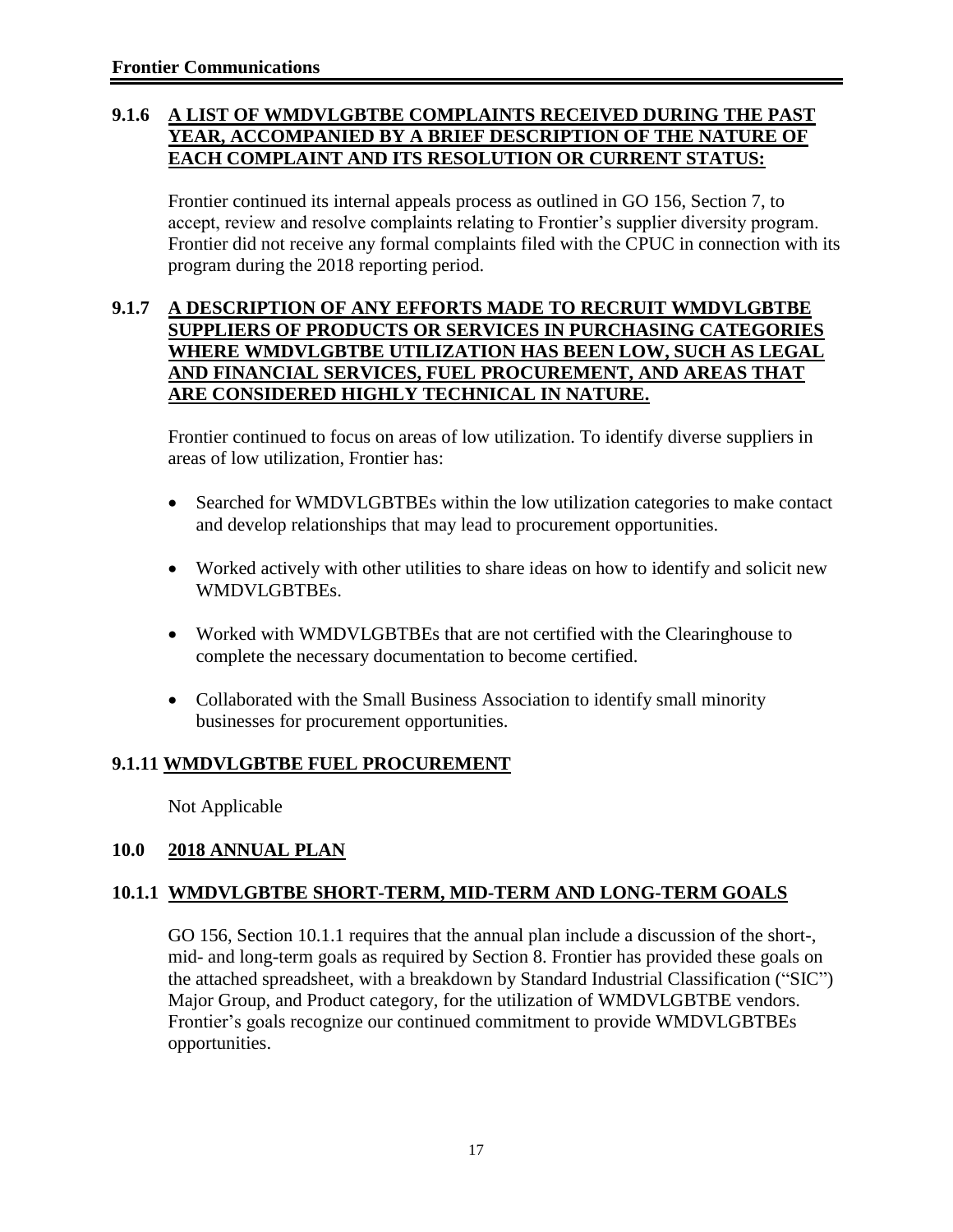#### **9.1.6 A LIST OF WMDVLGBTBE COMPLAINTS RECEIVED DURING THE PAST YEAR, ACCOMPANIED BY A BRIEF DESCRIPTION OF THE NATURE OF EACH COMPLAINT AND ITS RESOLUTION OR CURRENT STATUS:**

Frontier continued its internal appeals process as outlined in GO 156, Section 7, to accept, review and resolve complaints relating to Frontier's supplier diversity program. Frontier did not receive any formal complaints filed with the CPUC in connection with its program during the 2018 reporting period.

#### **9.1.7 A DESCRIPTION OF ANY EFFORTS MADE TO RECRUIT WMDVLGBTBE SUPPLIERS OF PRODUCTS OR SERVICES IN PURCHASING CATEGORIES WHERE WMDVLGBTBE UTILIZATION HAS BEEN LOW, SUCH AS LEGAL AND FINANCIAL SERVICES, FUEL PROCUREMENT, AND AREAS THAT ARE CONSIDERED HIGHLY TECHNICAL IN NATURE.**

Frontier continued to focus on areas of low utilization. To identify diverse suppliers in areas of low utilization, Frontier has:

- Searched for WMDVLGBTBEs within the low utilization categories to make contact and develop relationships that may lead to procurement opportunities.
- Worked actively with other utilities to share ideas on how to identify and solicit new WMDVLGBTBEs.
- Worked with WMDVLGBTBEs that are not certified with the Clearinghouse to complete the necessary documentation to become certified.
- Collaborated with the Small Business Association to identify small minority businesses for procurement opportunities.

### **9.1.11 WMDVLGBTBE FUEL PROCUREMENT**

Not Applicable

#### **10.0 2018 ANNUAL PLAN**

#### **10.1.1 WMDVLGBTBE SHORT-TERM, MID-TERM AND LONG-TERM GOALS**

GO 156, Section 10.1.1 requires that the annual plan include a discussion of the short-, mid- and long-term goals as required by Section 8. Frontier has provided these goals on the attached spreadsheet, with a breakdown by Standard Industrial Classification ("SIC") Major Group, and Product category, for the utilization of WMDVLGBTBE vendors. Frontier's goals recognize our continued commitment to provide WMDVLGBTBEs opportunities.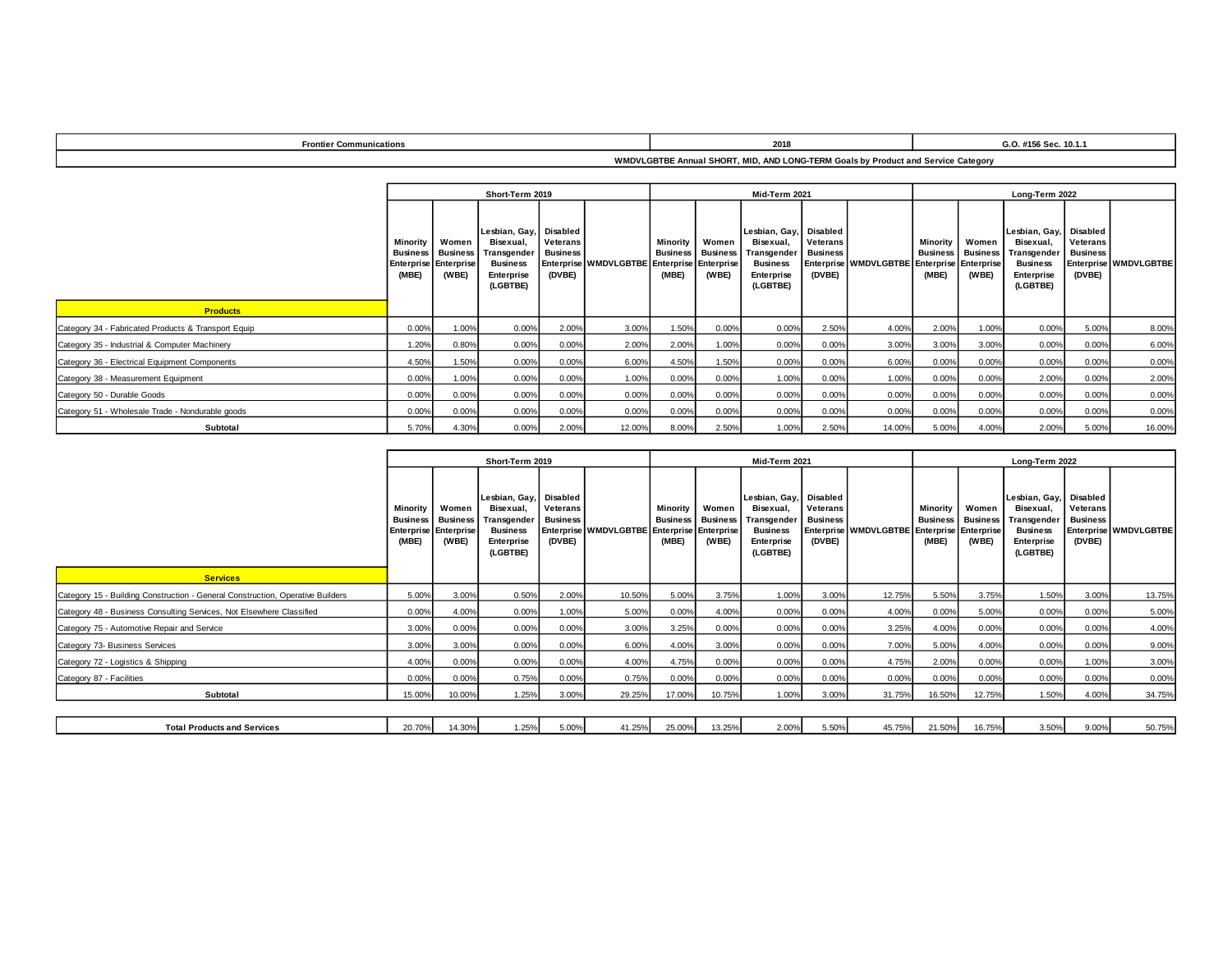| Communications<br>Frontier | 2018 | G.O. #156 Sec. 10.1.1<br>. |
|----------------------------|------|----------------------------|
|                            |      |                            |

**WMDVLGBTBE Annual SHORT, MID, AND LONG-TERM Goals by Product and Service Category**

|                                                     | Short-Term 2019                                      |                                                |                                                                                        |                                                   |                                             |       | Mid-Term 2021                                         |                                                                                                 |                                              |                                             |                                      |                                   | Long-Term 2022                                                                                         |                                       |                       |  |  |
|-----------------------------------------------------|------------------------------------------------------|------------------------------------------------|----------------------------------------------------------------------------------------|---------------------------------------------------|---------------------------------------------|-------|-------------------------------------------------------|-------------------------------------------------------------------------------------------------|----------------------------------------------|---------------------------------------------|--------------------------------------|-----------------------------------|--------------------------------------------------------------------------------------------------------|---------------------------------------|-----------------------|--|--|
|                                                     | <b>Minority</b><br><b>Business</b> Business<br>(MBE) | Women<br><b>Enterprise Enterprise</b><br>(WBE) | Lesbian, Gay,<br>Bisexual.<br>Transgender<br><b>Business</b><br>Enterprise<br>(LGBTBE) | Disabled<br>Veterans<br><b>Business</b><br>(DVBE) | Enterprise WMDVLGBTBE Enterprise Enterprise | (MBE) | Minority   Women<br><b>Business Business</b><br>(WBE) | Lesbian, Gay, Disabled<br>Bisexual.<br>Transgender<br><b>Business</b><br>Enterprise<br>(LGBTBE) | <b>Veterans</b><br><b>Business</b><br>(DVBE) | Enterprise WMDVLGBTBE Enterprise Enterprise | Minority<br><b>Business</b><br>(MBE) | Women<br><b>Business</b><br>(WBE) | Lesbian, Gay, Disabled<br>Bisexual.<br><b>Transgender</b><br><b>Business</b><br>Enterprise<br>(LGBTBE) | Veterans<br><b>Business</b><br>(DVBE) | Enterprise WMDVLGBTBE |  |  |
| <b>Products</b>                                     |                                                      |                                                |                                                                                        |                                                   |                                             |       |                                                       |                                                                                                 |                                              |                                             |                                      |                                   |                                                                                                        |                                       |                       |  |  |
| Category 34 - Fabricated Products & Transport Equip | 0.00%                                                | 1.00%                                          | 0.00%                                                                                  | 2.00%                                             | 3.00%                                       | 1.50% | 0.00%                                                 | 0.00%                                                                                           | 2.50%                                        | 4.00%                                       | 2.00%                                | 1.00%                             | 0.00%                                                                                                  | 5.00%                                 | 8.00%                 |  |  |
| Category 35 - Industrial & Computer Machinery       | 1.20%                                                | 0.80%                                          | 0.00%                                                                                  | 0.00%                                             | 2.00%                                       | 2.00% | 1.00%                                                 | 0.00%                                                                                           | 0.00%                                        | 3.00%                                       | 3.00%                                | 3.00%                             | 0.00%                                                                                                  | 0.00%                                 | 6.00%                 |  |  |
| Category 36 - Electrical Equipment Components       | 4.50%                                                | 1.50%                                          | 0.00%                                                                                  | 0.00%                                             | 6.00%                                       | 4.50% | 1.50%                                                 | 0.00%                                                                                           | 0.00%                                        | 6.00%                                       | 0.00%                                | 0.00%                             | 0.00%                                                                                                  | 0.00%                                 | 0.00%                 |  |  |
| Category 38 - Measurement Equipment                 | 0.00%                                                | 1.00%                                          | 0.00%                                                                                  | 0.00%                                             | 1.00%                                       | 0.00% | 0.00%                                                 | 1.00%                                                                                           | 0.00%                                        | 1.00%                                       | 0.00%                                | 0.00%                             | 2.00%                                                                                                  | 0.00%                                 | 2.00%                 |  |  |
| Category 50 - Durable Goods                         | 0.00%                                                | 0.00%                                          | 0.00%                                                                                  | 0.00%                                             | 0.00%                                       | 0.00% | 0.00%                                                 | 0.00%                                                                                           | 0.00%                                        | 0.00%                                       | 0.00%                                | 0.00%                             | 0.00%                                                                                                  | 0.00%                                 | 0.00%                 |  |  |
| Category 51 - Wholesale Trade - Nondurable goods    | 0.00%                                                | 0.00%                                          | 0.00%                                                                                  | 0.00%                                             | 0.00%                                       | 0.00% | 0.00%                                                 | 0.00%                                                                                           | 0.00%                                        | 0.00%                                       | 0.00%                                | 0.00%                             | 0.00%                                                                                                  | 0.00%                                 | 0.00%                 |  |  |
| Subtotal                                            | 5.70%                                                | 4.30%                                          | 0.00%                                                                                  | 2.00%                                             | 12.00%                                      | 8.00% | 2.50%                                                 | 1.00%                                                                                           | 2.50%                                        | 14.00%                                      | 5.00%                                | 4.00%                             | 2.00%                                                                                                  | 5.00%                                 | 16.00%                |  |  |

|                                                                                | Short-Term 2019                                                             |                                   |                                                                                        |                                                   |                                             |                                      | Mid-Term 2021                     |                                                                                                 |                                              |                                             |                                      |                                   | Long-Term 2022                                                                         |                                                   |                       |  |  |
|--------------------------------------------------------------------------------|-----------------------------------------------------------------------------|-----------------------------------|----------------------------------------------------------------------------------------|---------------------------------------------------|---------------------------------------------|--------------------------------------|-----------------------------------|-------------------------------------------------------------------------------------------------|----------------------------------------------|---------------------------------------------|--------------------------------------|-----------------------------------|----------------------------------------------------------------------------------------|---------------------------------------------------|-----------------------|--|--|
| <b>Services</b>                                                                | <b>Minority</b><br><b>Business</b><br><b>Enterprise Enterprise</b><br>(MBE) | Women<br><b>Business</b><br>(WBE) | Lesbian, Gay,<br>Bisexual,<br>Transgender<br><b>Business</b><br>Enterprise<br>(LGBTBE) | Disabled<br>Veterans<br><b>Business</b><br>(DVBE) | Enterprise WMDVLGBTBE Enterprise Enterprise | Minority<br><b>Business</b><br>(MBE) | Women<br><b>Business</b><br>(WBE) | Lesbian, Gay, Disabled<br>Bisexual,<br>Transgender<br><b>Business</b><br>Enterprise<br>(LGBTBE) | <b>Veterans</b><br><b>Business</b><br>(DVBE) | Enterprise WMDVLGBTBE Enterprise Enterprise | Minority<br><b>Business</b><br>(MBE) | Women<br><b>Business</b><br>(WBE) | Lesbian, Gay,<br>Bisexual.<br>Transgender<br><b>Business</b><br>Enterprise<br>(LGBTBE) | Disabled<br>Veterans<br><b>Business</b><br>(DVBE) | Enterprise WMDVLGBTBE |  |  |
| Category 15 - Building Construction - General Construction, Operative Builders | 5.00%                                                                       | 3.00%                             | 0.50%                                                                                  | 2.00%                                             | 10.50%                                      | 5.00%                                | 3.75%                             | 1.00%                                                                                           | 3.00%                                        | 12.75%                                      | 5.50%                                | 3.75%                             | 1.50%                                                                                  | 3.00%                                             | 13.75%                |  |  |
| Category 48 - Business Consulting Services, Not Elsewhere Classified           | 0.00%                                                                       | 4.00%                             | 0.00%                                                                                  | 1.00%                                             | 5.00%                                       | 0.00%                                | 4.00%                             | 0.00%                                                                                           | 0.00%                                        | 4.00%                                       | 0.00%                                | 5.00%                             | 0.00%                                                                                  | 0.00%                                             | 5.00%                 |  |  |
| Category 75 - Automotive Repair and Service                                    | 3.00%                                                                       | 0.00%                             | 0.00%                                                                                  | 0.00%                                             | 3.00%                                       | 3.25%                                | 0.00%                             | 0.00%                                                                                           | 0.00%                                        | 3.25%                                       | 4.00%                                | 0.00%                             | 0.00%                                                                                  | 0.00%                                             | 4.00%                 |  |  |
| Category 73- Business Services                                                 | 3.00%                                                                       | 3.00%                             | 0.00%                                                                                  | 0.00%                                             | 6.00%                                       | 4.00%                                | 3.00%                             | 0.00%                                                                                           | 0.00%                                        | 7.00%                                       | 5.00%                                | 4.00%                             | 0.00%                                                                                  | 0.00%                                             | 9.00%                 |  |  |
| Category 72 - Logistics & Shipping                                             | 4.00%                                                                       | 0.00%                             | 0.00%                                                                                  | 0.00%                                             | 4.00%                                       | 4.75%                                | 0.00%                             | 0.00%                                                                                           | 0.00%                                        | 4.75%                                       | 2.00%                                | 0.00%                             | 0.00%                                                                                  | 1.00%                                             | 3.00%                 |  |  |
| Category 87 - Facilities                                                       | 0.00%                                                                       | 0.00%                             | 0.75%                                                                                  | 0.00%                                             | 0.75%                                       | 0.00%                                | 0.00%                             | 0.00%                                                                                           | 0.00%                                        | 0.00%                                       | 0.00%                                | 0.00%                             | 0.00%                                                                                  | 0.00%                                             | 0.00%                 |  |  |
| Subtotal                                                                       | 15.00%                                                                      | 10.00%                            | 1.25%                                                                                  | 3.00%                                             | 29.25%                                      | 17.00%                               | 10.75%                            | 1.00%                                                                                           | 3.00%                                        | 31.75%                                      | 16.50%                               | 12.75%                            | 1.50%                                                                                  | 4.00%                                             | 34.75%                |  |  |
|                                                                                |                                                                             |                                   |                                                                                        |                                                   |                                             |                                      |                                   |                                                                                                 |                                              |                                             |                                      |                                   |                                                                                        |                                                   |                       |  |  |
| <b>Total Products and Services</b>                                             | 20.70%                                                                      | 14.30%                            | 1.25%                                                                                  | 5.00%                                             | 41.25%                                      | 25.00%                               | 13.25%                            | 2.00%                                                                                           | 5.50%                                        | 45.75%                                      | 21.50%                               | 16.75%                            | 3.50%                                                                                  | 9.00%                                             | 50.75%                |  |  |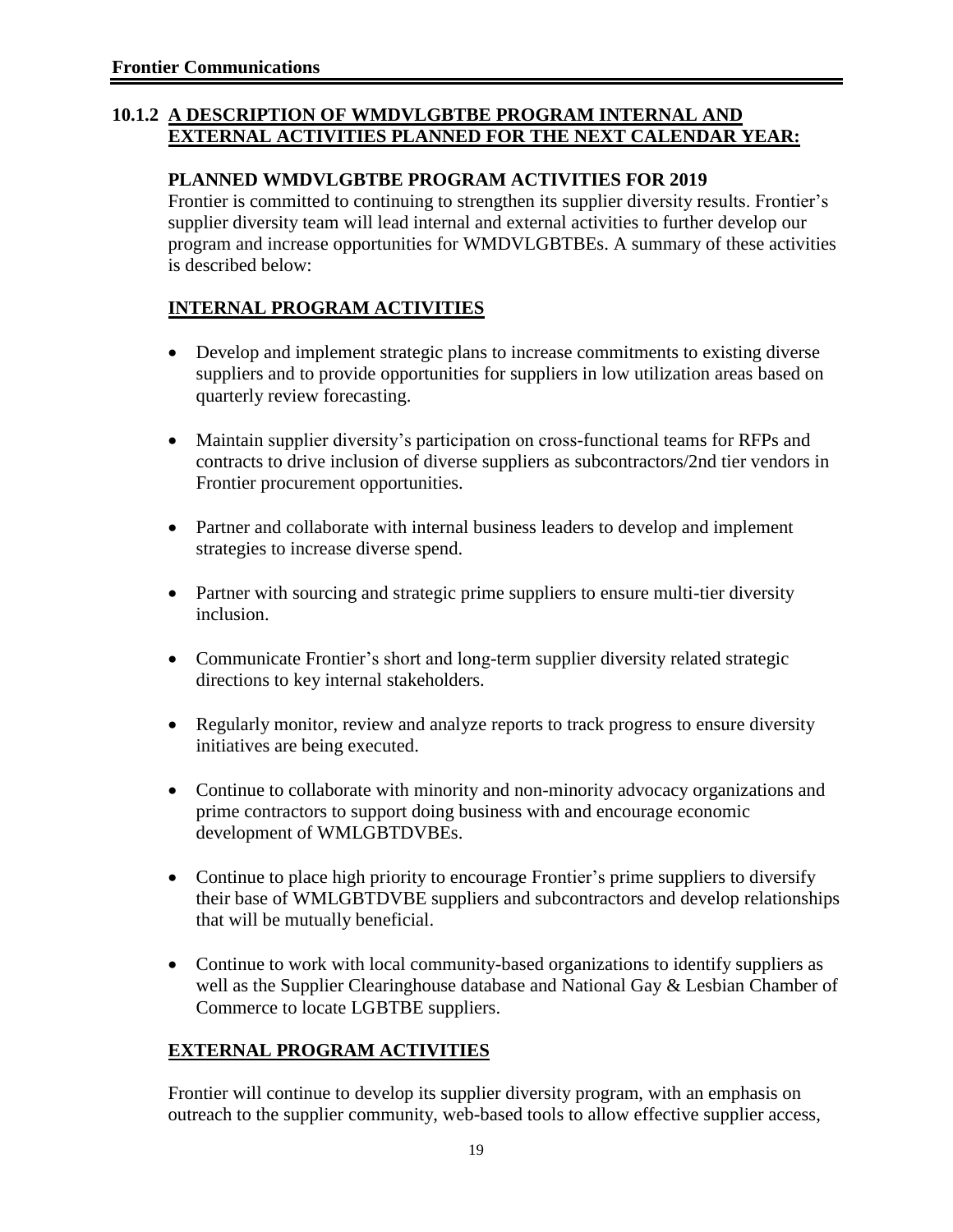#### **10.1.2 A DESCRIPTION OF WMDVLGBTBE PROGRAM INTERNAL AND EXTERNAL ACTIVITIES PLANNED FOR THE NEXT CALENDAR YEAR:**

#### **PLANNED WMDVLGBTBE PROGRAM ACTIVITIES FOR 2019**

Frontier is committed to continuing to strengthen its supplier diversity results. Frontier's supplier diversity team will lead internal and external activities to further develop our program and increase opportunities for WMDVLGBTBEs. A summary of these activities is described below:

### **INTERNAL PROGRAM ACTIVITIES**

- Develop and implement strategic plans to increase commitments to existing diverse suppliers and to provide opportunities for suppliers in low utilization areas based on quarterly review forecasting.
- Maintain supplier diversity's participation on cross-functional teams for RFPs and contracts to drive inclusion of diverse suppliers as subcontractors/2nd tier vendors in Frontier procurement opportunities.
- Partner and collaborate with internal business leaders to develop and implement strategies to increase diverse spend.
- Partner with sourcing and strategic prime suppliers to ensure multi-tier diversity inclusion.
- Communicate Frontier's short and long-term supplier diversity related strategic directions to key internal stakeholders.
- Regularly monitor, review and analyze reports to track progress to ensure diversity initiatives are being executed.
- Continue to collaborate with minority and non-minority advocacy organizations and prime contractors to support doing business with and encourage economic development of WMLGBTDVBEs.
- Continue to place high priority to encourage Frontier's prime suppliers to diversify their base of WMLGBTDVBE suppliers and subcontractors and develop relationships that will be mutually beneficial.
- Continue to work with local community-based organizations to identify suppliers as well as the Supplier Clearinghouse database and National Gay & Lesbian Chamber of Commerce to locate LGBTBE suppliers.

### **EXTERNAL PROGRAM ACTIVITIES**

Frontier will continue to develop its supplier diversity program, with an emphasis on outreach to the supplier community, web-based tools to allow effective supplier access,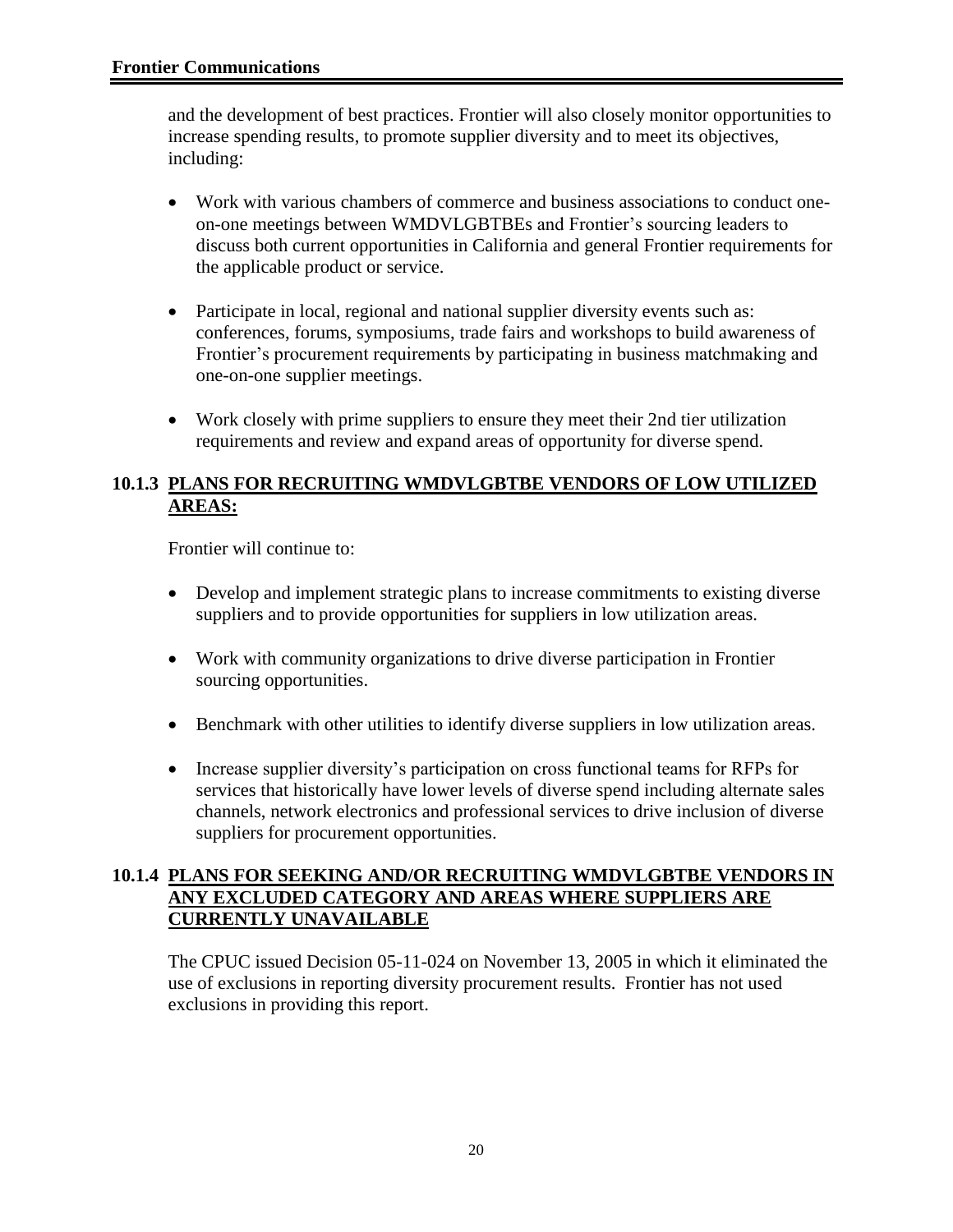and the development of best practices. Frontier will also closely monitor opportunities to increase spending results, to promote supplier diversity and to meet its objectives, including:

- Work with various chambers of commerce and business associations to conduct oneon-one meetings between WMDVLGBTBEs and Frontier's sourcing leaders to discuss both current opportunities in California and general Frontier requirements for the applicable product or service.
- Participate in local, regional and national supplier diversity events such as: conferences, forums, symposiums, trade fairs and workshops to build awareness of Frontier's procurement requirements by participating in business matchmaking and one-on-one supplier meetings.
- Work closely with prime suppliers to ensure they meet their 2nd tier utilization requirements and review and expand areas of opportunity for diverse spend.

#### **10.1.3 PLANS FOR RECRUITING WMDVLGBTBE VENDORS OF LOW UTILIZED AREAS:**

Frontier will continue to:

- Develop and implement strategic plans to increase commitments to existing diverse suppliers and to provide opportunities for suppliers in low utilization areas.
- Work with community organizations to drive diverse participation in Frontier sourcing opportunities.
- Benchmark with other utilities to identify diverse suppliers in low utilization areas.
- Increase supplier diversity's participation on cross functional teams for RFPs for services that historically have lower levels of diverse spend including alternate sales channels, network electronics and professional services to drive inclusion of diverse suppliers for procurement opportunities.

#### **10.1.4 PLANS FOR SEEKING AND/OR RECRUITING WMDVLGBTBE VENDORS IN ANY EXCLUDED CATEGORY AND AREAS WHERE SUPPLIERS ARE CURRENTLY UNAVAILABLE**

The CPUC issued Decision 05-11-024 on November 13, 2005 in which it eliminated the use of exclusions in reporting diversity procurement results. Frontier has not used exclusions in providing this report.